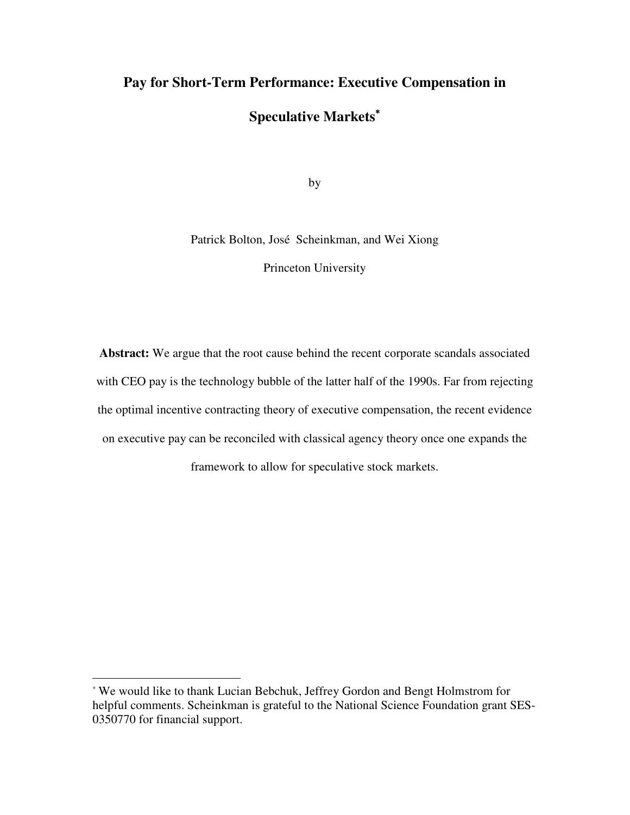# **Pay for Short-Term Performance: Executive Compensation in**

# **Speculative Markets**<sup>∗</sup>

by

Patrick Bolton, José Scheinkman, and Wei Xiong Princeton University

**Abstract:** We argue that the root cause behind the recent corporate scandals associated with CEO pay is the technology bubble of the latter half of the 1990s. Far from rejecting the optimal incentive contracting theory of executive compensation, the recent evidence on executive pay can be reconciled with classical agency theory once one expands the

framework to allow for speculative stock markets.

<sup>∗</sup> We would like to thank Lucian Bebchuk, Jeffrey Gordon and Bengt Holmstrom for helpful comments. Scheinkman is grateful to the National Science Foundation grant SES-0350770 for financial support.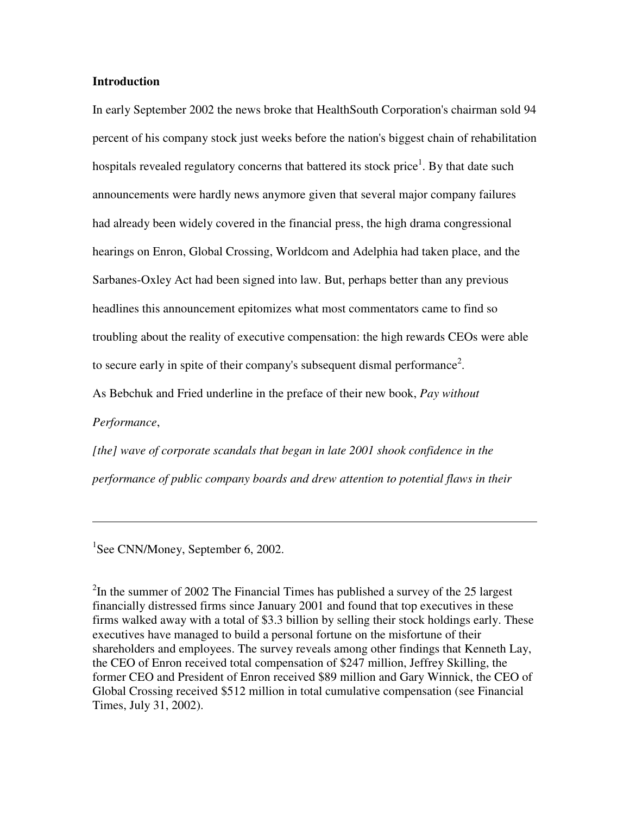#### **Introduction**

In early September 2002 the news broke that HealthSouth Corporation's chairman sold 94 percent of his company stock just weeks before the nation's biggest chain of rehabilitation hospitals revealed regulatory concerns that battered its stock price<sup>1</sup>. By that date such announcements were hardly news anymore given that several major company failures had already been widely covered in the financial press, the high drama congressional hearings on Enron, Global Crossing, Worldcom and Adelphia had taken place, and the Sarbanes-Oxley Act had been signed into law. But, perhaps better than any previous headlines this announcement epitomizes what most commentators came to find so troubling about the reality of executive compensation: the high rewards CEOs were able to secure early in spite of their company's subsequent dismal performance<sup>2</sup>.

As Bebchuk and Fried underline in the preface of their new book, *Pay without* 

#### *Performance*,

 $\overline{a}$ 

*[the] wave of corporate scandals that began in late 2001 shook confidence in the performance of public company boards and drew attention to potential flaws in their* 

<sup>1</sup>See CNN/Money, September 6, 2002.

 $2$ In the summer of 2002 The Financial Times has published a survey of the 25 largest financially distressed firms since January 2001 and found that top executives in these firms walked away with a total of \$3.3 billion by selling their stock holdings early. These executives have managed to build a personal fortune on the misfortune of their shareholders and employees. The survey reveals among other findings that Kenneth Lay, the CEO of Enron received total compensation of \$247 million, Jeffrey Skilling, the former CEO and President of Enron received \$89 million and Gary Winnick, the CEO of Global Crossing received \$512 million in total cumulative compensation (see Financial Times, July 31, 2002).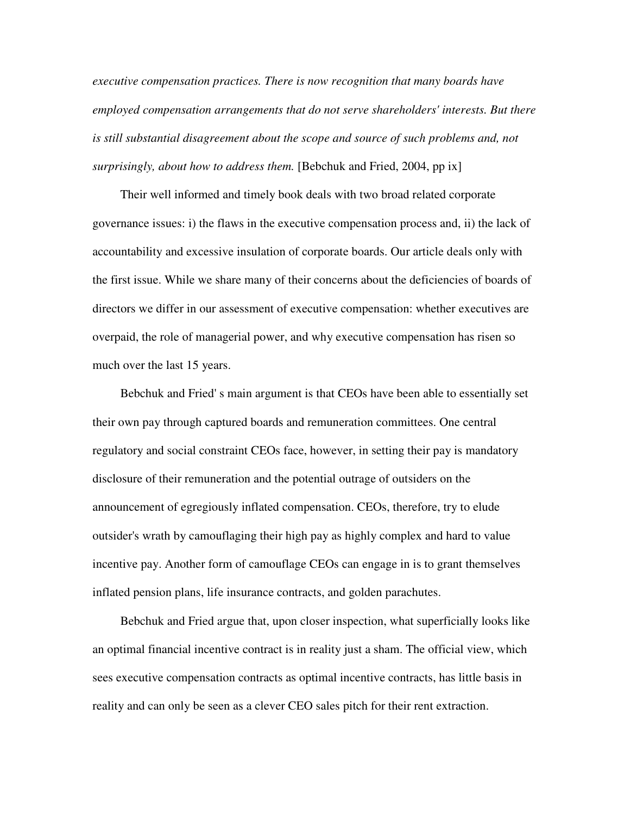*executive compensation practices. There is now recognition that many boards have employed compensation arrangements that do not serve shareholders' interests. But there*  is still substantial disagreement about the scope and source of such problems and, not *surprisingly, about how to address them.* [Bebchuk and Fried, 2004, pp ix]

 Their well informed and timely book deals with two broad related corporate governance issues: i) the flaws in the executive compensation process and, ii) the lack of accountability and excessive insulation of corporate boards. Our article deals only with the first issue. While we share many of their concerns about the deficiencies of boards of directors we differ in our assessment of executive compensation: whether executives are overpaid, the role of managerial power, and why executive compensation has risen so much over the last 15 years.

 Bebchuk and Fried' s main argument is that CEOs have been able to essentially set their own pay through captured boards and remuneration committees. One central regulatory and social constraint CEOs face, however, in setting their pay is mandatory disclosure of their remuneration and the potential outrage of outsiders on the announcement of egregiously inflated compensation. CEOs, therefore, try to elude outsider's wrath by camouflaging their high pay as highly complex and hard to value incentive pay. Another form of camouflage CEOs can engage in is to grant themselves inflated pension plans, life insurance contracts, and golden parachutes.

 Bebchuk and Fried argue that, upon closer inspection, what superficially looks like an optimal financial incentive contract is in reality just a sham. The official view, which sees executive compensation contracts as optimal incentive contracts, has little basis in reality and can only be seen as a clever CEO sales pitch for their rent extraction.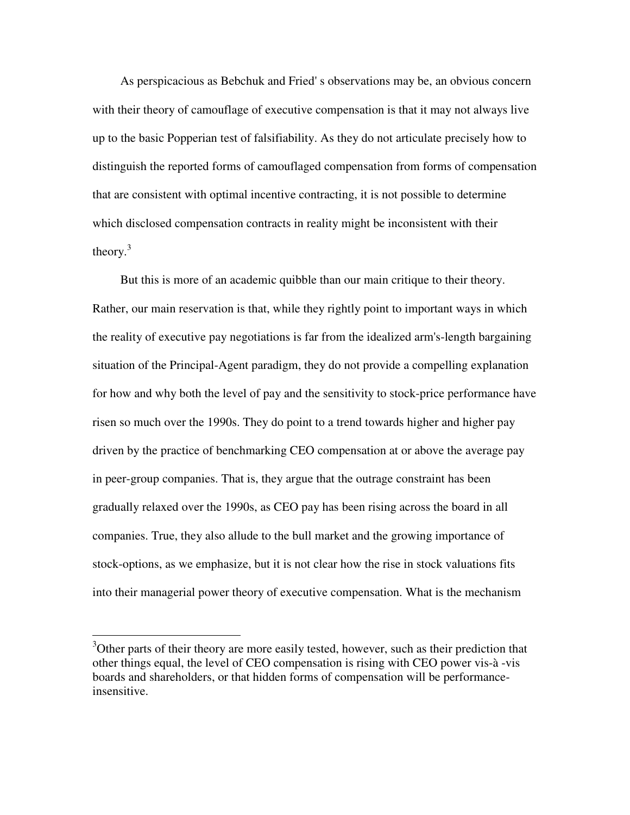As perspicacious as Bebchuk and Fried' s observations may be, an obvious concern with their theory of camouflage of executive compensation is that it may not always live up to the basic Popperian test of falsifiability. As they do not articulate precisely how to distinguish the reported forms of camouflaged compensation from forms of compensation that are consistent with optimal incentive contracting, it is not possible to determine which disclosed compensation contracts in reality might be inconsistent with their theory.<sup>3</sup>

 But this is more of an academic quibble than our main critique to their theory. Rather, our main reservation is that, while they rightly point to important ways in which the reality of executive pay negotiations is far from the idealized arm's-length bargaining situation of the Principal-Agent paradigm, they do not provide a compelling explanation for how and why both the level of pay and the sensitivity to stock-price performance have risen so much over the 1990s. They do point to a trend towards higher and higher pay driven by the practice of benchmarking CEO compensation at or above the average pay in peer-group companies. That is, they argue that the outrage constraint has been gradually relaxed over the 1990s, as CEO pay has been rising across the board in all companies. True, they also allude to the bull market and the growing importance of stock-options, as we emphasize, but it is not clear how the rise in stock valuations fits into their managerial power theory of executive compensation. What is the mechanism

<sup>&</sup>lt;sup>3</sup>Other parts of their theory are more easily tested, however, such as their prediction that other things equal, the level of CEO compensation is rising with CEO power vis-à -vis boards and shareholders, or that hidden forms of compensation will be performanceinsensitive.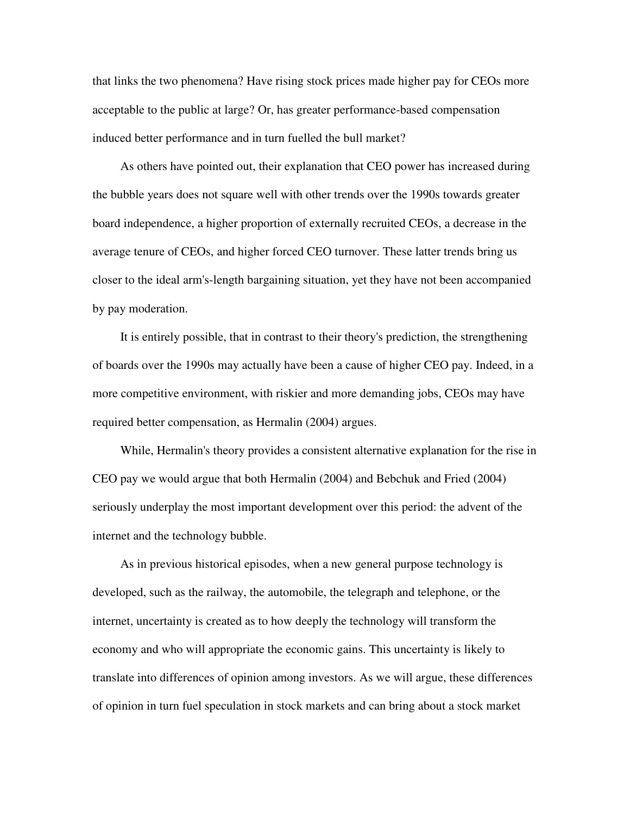that links the two phenomena? Have rising stock prices made higher pay for CEOs more acceptable to the public at large? Or, has greater performance-based compensation induced better performance and in turn fuelled the bull market?

 As others have pointed out, their explanation that CEO power has increased during the bubble years does not square well with other trends over the 1990s towards greater board independence, a higher proportion of externally recruited CEOs, a decrease in the average tenure of CEOs, and higher forced CEO turnover. These latter trends bring us closer to the ideal arm's-length bargaining situation, yet they have not been accompanied by pay moderation.

 It is entirely possible, that in contrast to their theory's prediction, the strengthening of boards over the 1990s may actually have been a cause of higher CEO pay. Indeed, in a more competitive environment, with riskier and more demanding jobs, CEOs may have required better compensation, as Hermalin (2004) argues.

 While, Hermalin's theory provides a consistent alternative explanation for the rise in CEO pay we would argue that both Hermalin (2004) and Bebchuk and Fried (2004) seriously underplay the most important development over this period: the advent of the internet and the technology bubble.

 As in previous historical episodes, when a new general purpose technology is developed, such as the railway, the automobile, the telegraph and telephone, or the internet, uncertainty is created as to how deeply the technology will transform the economy and who will appropriate the economic gains. This uncertainty is likely to translate into differences of opinion among investors. As we will argue, these differences of opinion in turn fuel speculation in stock markets and can bring about a stock market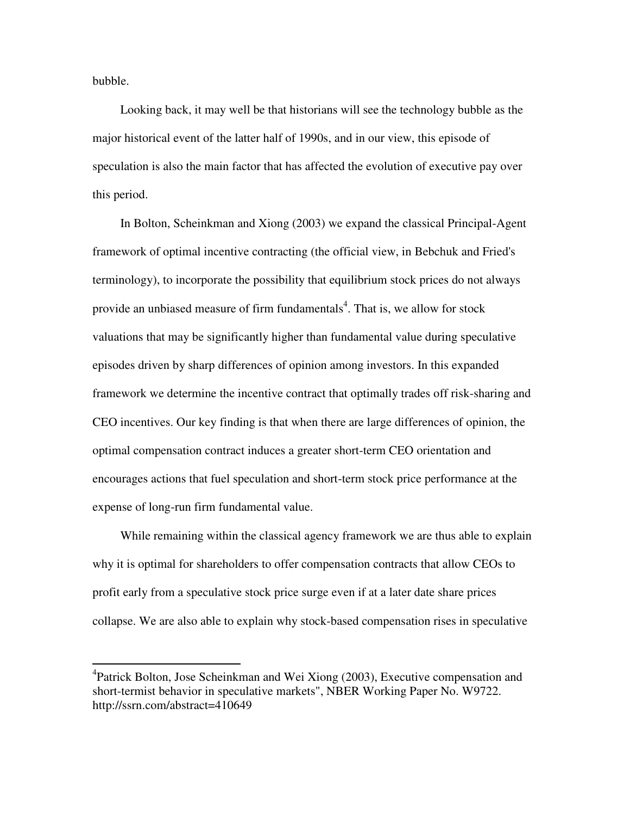bubble.

 $\overline{a}$ 

 Looking back, it may well be that historians will see the technology bubble as the major historical event of the latter half of 1990s, and in our view, this episode of speculation is also the main factor that has affected the evolution of executive pay over this period.

 In Bolton, Scheinkman and Xiong (2003) we expand the classical Principal-Agent framework of optimal incentive contracting (the official view, in Bebchuk and Fried's terminology), to incorporate the possibility that equilibrium stock prices do not always provide an unbiased measure of firm fundamentals<sup>4</sup>. That is, we allow for stock valuations that may be significantly higher than fundamental value during speculative episodes driven by sharp differences of opinion among investors. In this expanded framework we determine the incentive contract that optimally trades off risk-sharing and CEO incentives. Our key finding is that when there are large differences of opinion, the optimal compensation contract induces a greater short-term CEO orientation and encourages actions that fuel speculation and short-term stock price performance at the expense of long-run firm fundamental value.

While remaining within the classical agency framework we are thus able to explain why it is optimal for shareholders to offer compensation contracts that allow CEOs to profit early from a speculative stock price surge even if at a later date share prices collapse. We are also able to explain why stock-based compensation rises in speculative

<sup>&</sup>lt;sup>4</sup>Patrick Bolton, Jose Scheinkman and Wei Xiong (2003), Executive compensation and short-termist behavior in speculative markets", NBER Working Paper No. W9722. http://ssrn.com/abstract=410649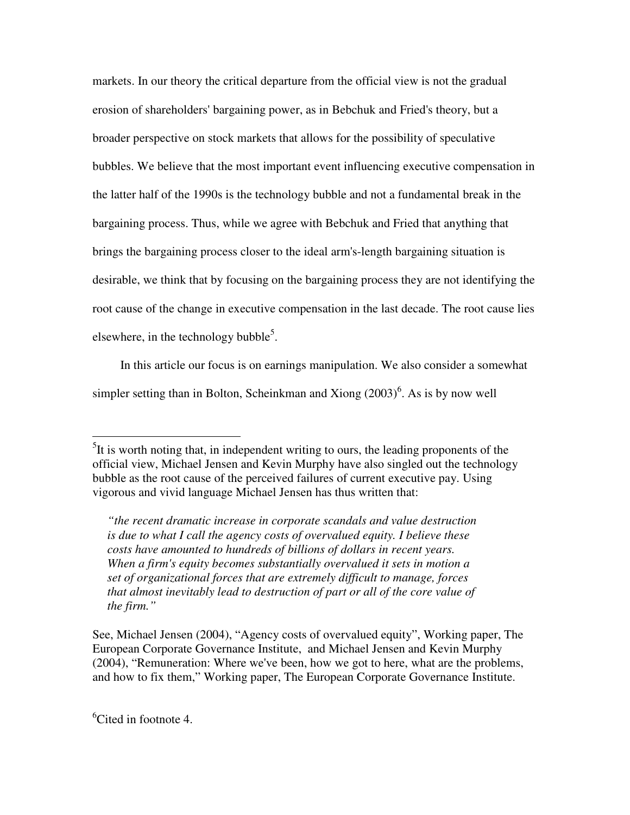markets. In our theory the critical departure from the official view is not the gradual erosion of shareholders' bargaining power, as in Bebchuk and Fried's theory, but a broader perspective on stock markets that allows for the possibility of speculative bubbles. We believe that the most important event influencing executive compensation in the latter half of the 1990s is the technology bubble and not a fundamental break in the bargaining process. Thus, while we agree with Bebchuk and Fried that anything that brings the bargaining process closer to the ideal arm's-length bargaining situation is desirable, we think that by focusing on the bargaining process they are not identifying the root cause of the change in executive compensation in the last decade. The root cause lies elsewhere, in the technology bubble<sup>5</sup>.

 In this article our focus is on earnings manipulation. We also consider a somewhat simpler setting than in Bolton, Scheinkman and Xiong  $(2003)^6$ . As is by now well

See, Michael Jensen (2004), "Agency costs of overvalued equity", Working paper, The European Corporate Governance Institute, and Michael Jensen and Kevin Murphy (2004), "Remuneration: Where we've been, how we got to here, what are the problems, and how to fix them," Working paper, The European Corporate Governance Institute.

<sup>6</sup>Cited in footnote 4.

 $<sup>5</sup>$ It is worth noting that, in independent writing to ours, the leading proponents of the</sup> official view, Michael Jensen and Kevin Murphy have also singled out the technology bubble as the root cause of the perceived failures of current executive pay. Using vigorous and vivid language Michael Jensen has thus written that:

*<sup>&</sup>quot;the recent dramatic increase in corporate scandals and value destruction is due to what I call the agency costs of overvalued equity. I believe these costs have amounted to hundreds of billions of dollars in recent years. When a firm's equity becomes substantially overvalued it sets in motion a set of organizational forces that are extremely difficult to manage, forces that almost inevitably lead to destruction of part or all of the core value of the firm."*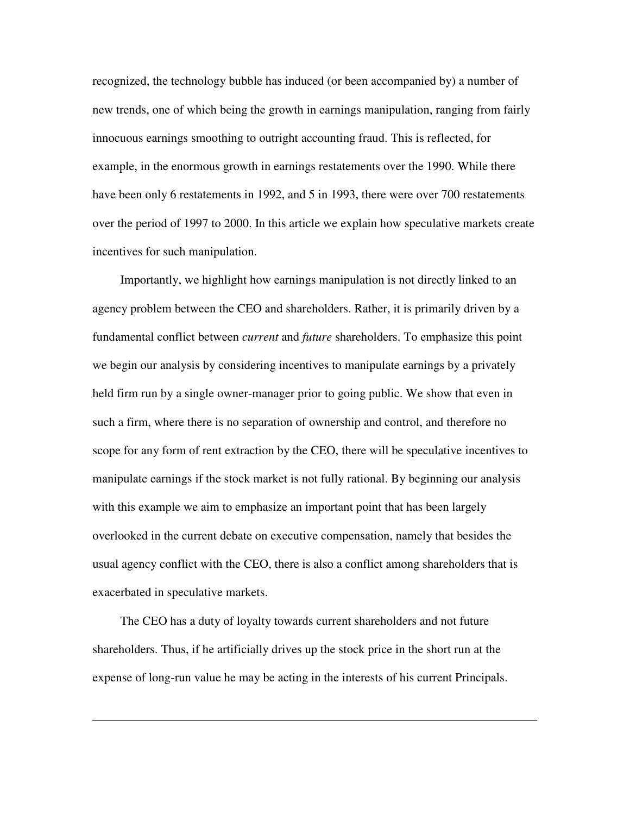recognized, the technology bubble has induced (or been accompanied by) a number of new trends, one of which being the growth in earnings manipulation, ranging from fairly innocuous earnings smoothing to outright accounting fraud. This is reflected, for example, in the enormous growth in earnings restatements over the 1990. While there have been only 6 restatements in 1992, and 5 in 1993, there were over 700 restatements over the period of 1997 to 2000. In this article we explain how speculative markets create incentives for such manipulation.

 Importantly, we highlight how earnings manipulation is not directly linked to an agency problem between the CEO and shareholders. Rather, it is primarily driven by a fundamental conflict between *current* and *future* shareholders. To emphasize this point we begin our analysis by considering incentives to manipulate earnings by a privately held firm run by a single owner-manager prior to going public. We show that even in such a firm, where there is no separation of ownership and control, and therefore no scope for any form of rent extraction by the CEO, there will be speculative incentives to manipulate earnings if the stock market is not fully rational. By beginning our analysis with this example we aim to emphasize an important point that has been largely overlooked in the current debate on executive compensation, namely that besides the usual agency conflict with the CEO, there is also a conflict among shareholders that is exacerbated in speculative markets.

 The CEO has a duty of loyalty towards current shareholders and not future shareholders. Thus, if he artificially drives up the stock price in the short run at the expense of long-run value he may be acting in the interests of his current Principals.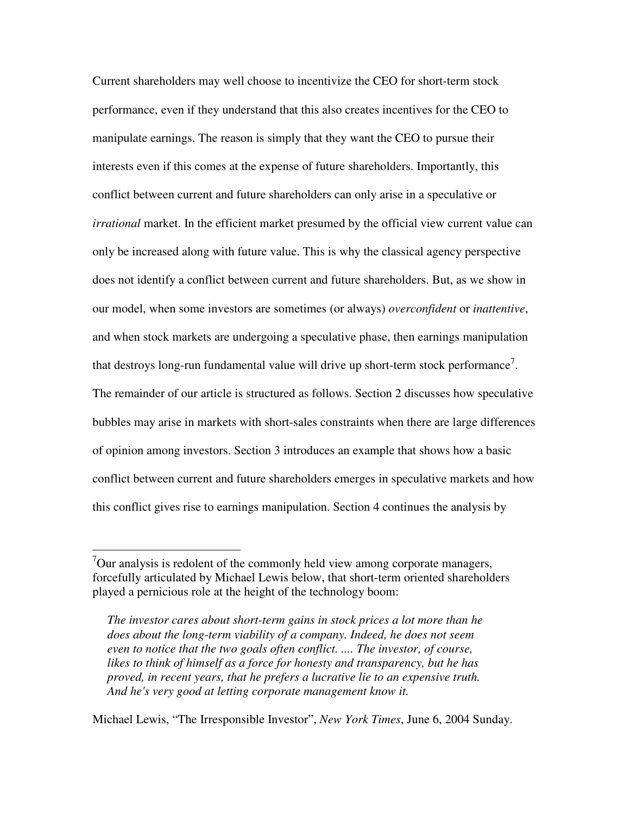Current shareholders may well choose to incentivize the CEO for short-term stock performance, even if they understand that this also creates incentives for the CEO to manipulate earnings. The reason is simply that they want the CEO to pursue their interests even if this comes at the expense of future shareholders. Importantly, this conflict between current and future shareholders can only arise in a speculative or *irrational* market. In the efficient market presumed by the official view current value can only be increased along with future value. This is why the classical agency perspective does not identify a conflict between current and future shareholders. But, as we show in our model, when some investors are sometimes (or always) *overconfident* or *inattentive*, and when stock markets are undergoing a speculative phase, then earnings manipulation that destroys long-run fundamental value will drive up short-term stock performance<sup>7</sup>. The remainder of our article is structured as follows. Section 2 discusses how speculative bubbles may arise in markets with short-sales constraints when there are large differences of opinion among investors. Section 3 introduces an example that shows how a basic conflict between current and future shareholders emerges in speculative markets and how this conflict gives rise to earnings manipulation. Section 4 continues the analysis by

l

Michael Lewis, "The Irresponsible Investor", *New York Times*, June 6, 2004 Sunday.

 $\sqrt{7}$ Our analysis is redolent of the commonly held view among corporate managers, forcefully articulated by Michael Lewis below, that short-term oriented shareholders played a pernicious role at the height of the technology boom:

*The investor cares about short-term gains in stock prices a lot more than he does about the long-term viability of a company. Indeed, he does not seem even to notice that the two goals often conflict. .... The investor, of course, likes to think of himself as a force for honesty and transparency, but he has proved, in recent years, that he prefers a lucrative lie to an expensive truth. And he's very good at letting corporate management know it.*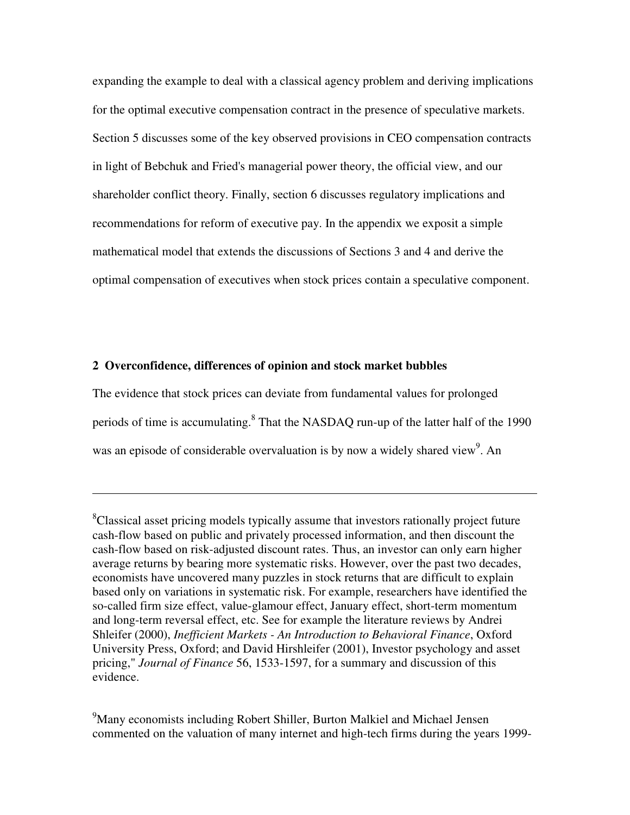expanding the example to deal with a classical agency problem and deriving implications for the optimal executive compensation contract in the presence of speculative markets. Section 5 discusses some of the key observed provisions in CEO compensation contracts in light of Bebchuk and Fried's managerial power theory, the official view, and our shareholder conflict theory. Finally, section 6 discusses regulatory implications and recommendations for reform of executive pay. In the appendix we exposit a simple mathematical model that extends the discussions of Sections 3 and 4 and derive the optimal compensation of executives when stock prices contain a speculative component.

#### **2 Overconfidence, differences of opinion and stock market bubbles**

 $\overline{a}$ 

The evidence that stock prices can deviate from fundamental values for prolonged periods of time is accumulating.<sup>8</sup> That the NASDAQ run-up of the latter half of the 1990 was an episode of considerable overvaluation is by now a widely shared view<sup>9</sup>. An

<sup>9</sup>Many economists including Robert Shiller, Burton Malkiel and Michael Jensen commented on the valuation of many internet and high-tech firms during the years 1999-

<sup>&</sup>lt;sup>8</sup>Classical asset pricing models typically assume that investors rationally project future cash-flow based on public and privately processed information, and then discount the cash-flow based on risk-adjusted discount rates. Thus, an investor can only earn higher average returns by bearing more systematic risks. However, over the past two decades, economists have uncovered many puzzles in stock returns that are difficult to explain based only on variations in systematic risk. For example, researchers have identified the so-called firm size effect, value-glamour effect, January effect, short-term momentum and long-term reversal effect, etc. See for example the literature reviews by Andrei Shleifer (2000), *Inefficient Markets - An Introduction to Behavioral Finance*, Oxford University Press, Oxford; and David Hirshleifer (2001), Investor psychology and asset pricing," *Journal of Finance* 56, 1533-1597, for a summary and discussion of this evidence.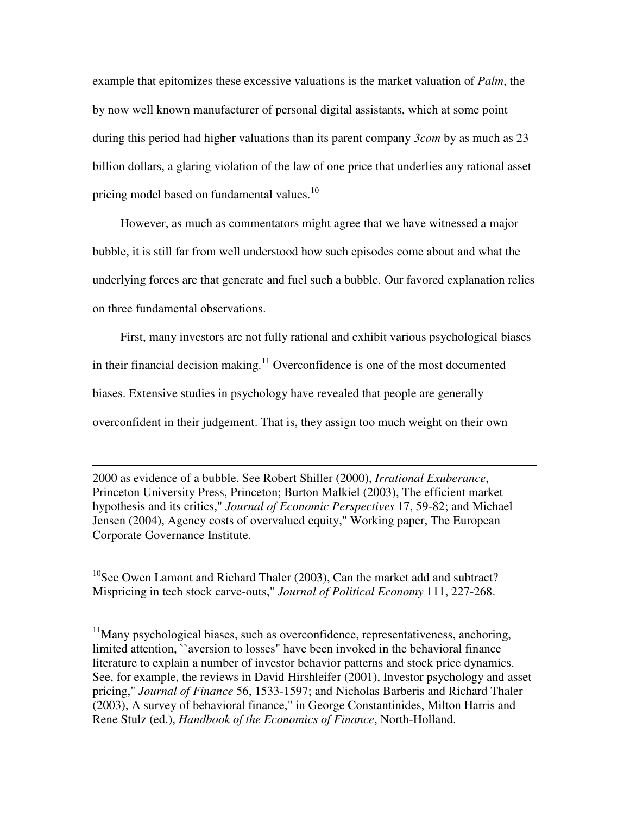example that epitomizes these excessive valuations is the market valuation of *Palm*, the by now well known manufacturer of personal digital assistants, which at some point during this period had higher valuations than its parent company *3com* by as much as 23 billion dollars, a glaring violation of the law of one price that underlies any rational asset pricing model based on fundamental values. $10$ 

 However, as much as commentators might agree that we have witnessed a major bubble, it is still far from well understood how such episodes come about and what the underlying forces are that generate and fuel such a bubble. Our favored explanation relies on three fundamental observations.

 First, many investors are not fully rational and exhibit various psychological biases in their financial decision making.<sup>11</sup> Overconfidence is one of the most documented biases. Extensive studies in psychology have revealed that people are generally overconfident in their judgement. That is, they assign too much weight on their own

2000 as evidence of a bubble. See Robert Shiller (2000), *Irrational Exuberance*, Princeton University Press, Princeton; Burton Malkiel (2003), The efficient market hypothesis and its critics," *Journal of Economic Perspectives* 17, 59-82; and Michael Jensen (2004), Agency costs of overvalued equity," Working paper, The European Corporate Governance Institute.

 $\overline{a}$ 

 $10$ See Owen Lamont and Richard Thaler (2003), Can the market add and subtract? Mispricing in tech stock carve-outs," *Journal of Political Economy* 111, 227-268.

 $11$ Many psychological biases, such as overconfidence, representativeness, anchoring, limited attention, ``aversion to losses" have been invoked in the behavioral finance literature to explain a number of investor behavior patterns and stock price dynamics. See, for example, the reviews in David Hirshleifer (2001), Investor psychology and asset pricing," *Journal of Finance* 56, 1533-1597; and Nicholas Barberis and Richard Thaler (2003), A survey of behavioral finance," in George Constantinides, Milton Harris and Rene Stulz (ed.), *Handbook of the Economics of Finance*, North-Holland.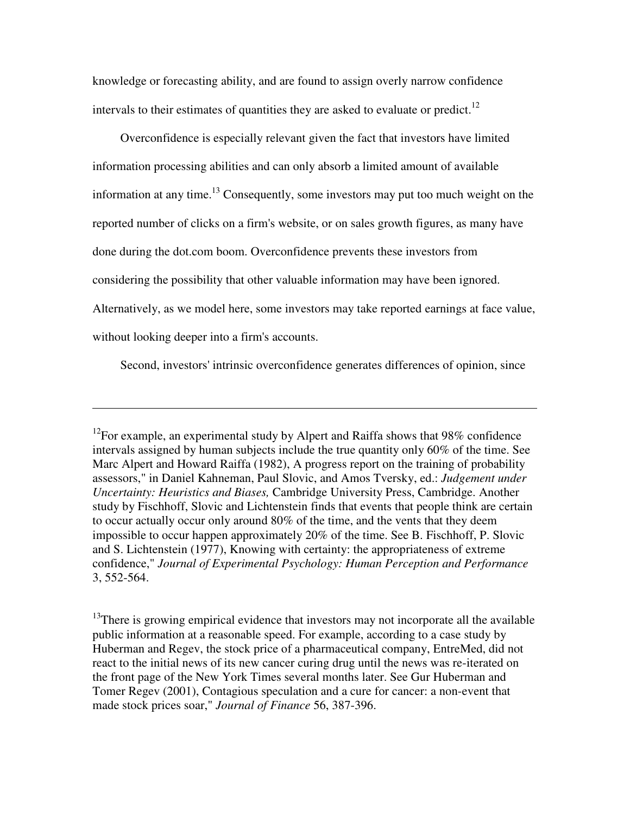knowledge or forecasting ability, and are found to assign overly narrow confidence intervals to their estimates of quantities they are asked to evaluate or predict.<sup>12</sup>

 Overconfidence is especially relevant given the fact that investors have limited information processing abilities and can only absorb a limited amount of available information at any time.<sup>13</sup> Consequently, some investors may put too much weight on the reported number of clicks on a firm's website, or on sales growth figures, as many have done during the dot.com boom. Overconfidence prevents these investors from considering the possibility that other valuable information may have been ignored. Alternatively, as we model here, some investors may take reported earnings at face value, without looking deeper into a firm's accounts.

Second, investors' intrinsic overconfidence generates differences of opinion, since

l

<sup>&</sup>lt;sup>12</sup>For example, an experimental study by Alpert and Raiffa shows that  $98\%$  confidence intervals assigned by human subjects include the true quantity only 60% of the time. See Marc Alpert and Howard Raiffa (1982), A progress report on the training of probability assessors," in Daniel Kahneman, Paul Slovic, and Amos Tversky, ed.: *Judgement under Uncertainty: Heuristics and Biases,* Cambridge University Press, Cambridge. Another study by Fischhoff, Slovic and Lichtenstein finds that events that people think are certain to occur actually occur only around 80% of the time, and the vents that they deem impossible to occur happen approximately 20% of the time. See B. Fischhoff, P. Slovic and S. Lichtenstein (1977), Knowing with certainty: the appropriateness of extreme confidence," *Journal of Experimental Psychology: Human Perception and Performance* 3, 552-564.

 $13$ There is growing empirical evidence that investors may not incorporate all the available public information at a reasonable speed. For example, according to a case study by Huberman and Regev, the stock price of a pharmaceutical company, EntreMed, did not react to the initial news of its new cancer curing drug until the news was re-iterated on the front page of the New York Times several months later. See Gur Huberman and Tomer Regev (2001), Contagious speculation and a cure for cancer: a non-event that made stock prices soar," *Journal of Finance* 56, 387-396.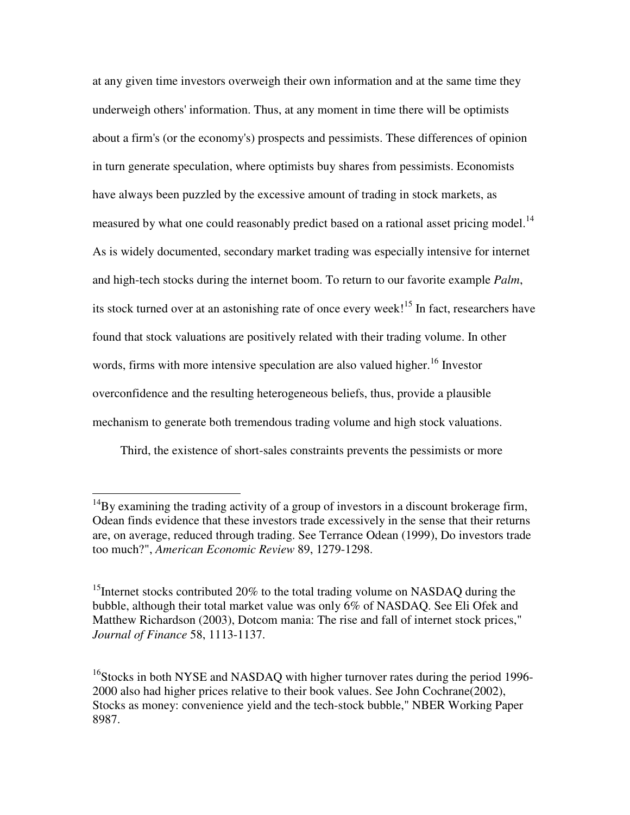at any given time investors overweigh their own information and at the same time they underweigh others' information. Thus, at any moment in time there will be optimists about a firm's (or the economy's) prospects and pessimists. These differences of opinion in turn generate speculation, where optimists buy shares from pessimists. Economists have always been puzzled by the excessive amount of trading in stock markets, as measured by what one could reasonably predict based on a rational asset pricing model.<sup>14</sup> As is widely documented, secondary market trading was especially intensive for internet and high-tech stocks during the internet boom. To return to our favorite example *Palm*, its stock turned over at an astonishing rate of once every week!<sup>15</sup> In fact, researchers have found that stock valuations are positively related with their trading volume. In other words, firms with more intensive speculation are also valued higher.<sup>16</sup> Investor overconfidence and the resulting heterogeneous beliefs, thus, provide a plausible mechanism to generate both tremendous trading volume and high stock valuations.

Third, the existence of short-sales constraints prevents the pessimists or more

 $14By$  examining the trading activity of a group of investors in a discount brokerage firm, Odean finds evidence that these investors trade excessively in the sense that their returns are, on average, reduced through trading. See Terrance Odean (1999), Do investors trade too much?", *American Economic Review* 89, 1279-1298.

<sup>&</sup>lt;sup>15</sup>Internet stocks contributed 20% to the total trading volume on NASDAQ during the bubble, although their total market value was only 6% of NASDAQ. See Eli Ofek and Matthew Richardson (2003), Dotcom mania: The rise and fall of internet stock prices," *Journal of Finance* 58, 1113-1137.

 $16$ Stocks in both NYSE and NASDAO with higher turnover rates during the period 1996-2000 also had higher prices relative to their book values. See John Cochrane(2002), Stocks as money: convenience yield and the tech-stock bubble," NBER Working Paper 8987.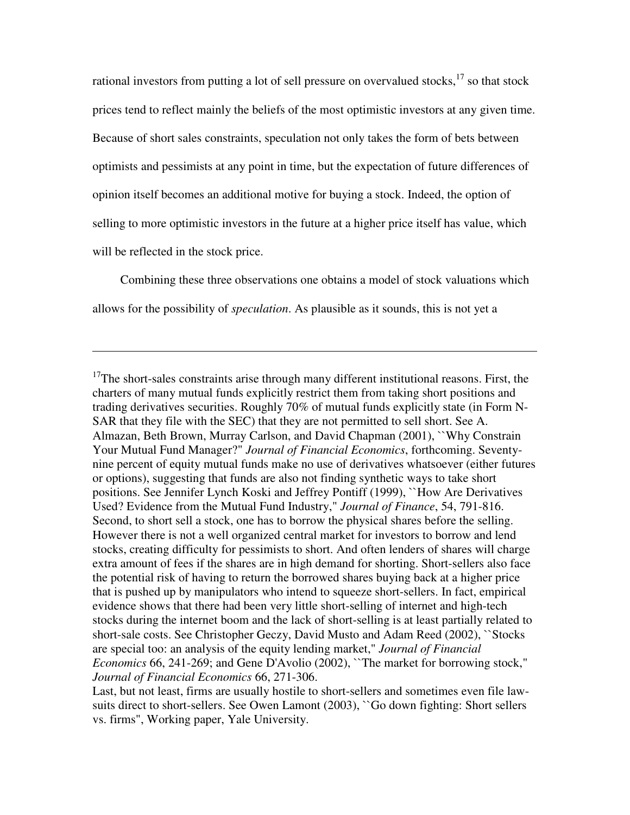rational investors from putting a lot of sell pressure on overvalued stocks, $17$  so that stock prices tend to reflect mainly the beliefs of the most optimistic investors at any given time. Because of short sales constraints, speculation not only takes the form of bets between optimists and pessimists at any point in time, but the expectation of future differences of opinion itself becomes an additional motive for buying a stock. Indeed, the option of selling to more optimistic investors in the future at a higher price itself has value, which will be reflected in the stock price.

 Combining these three observations one obtains a model of stock valuations which allows for the possibility of *speculation*. As plausible as it sounds, this is not yet a

 $17$ The short-sales constraints arise through many different institutional reasons. First, the charters of many mutual funds explicitly restrict them from taking short positions and trading derivatives securities. Roughly 70% of mutual funds explicitly state (in Form N-SAR that they file with the SEC) that they are not permitted to sell short. See A. Almazan, Beth Brown, Murray Carlson, and David Chapman (2001), ``Why Constrain Your Mutual Fund Manager?" *Journal of Financial Economics*, forthcoming. Seventynine percent of equity mutual funds make no use of derivatives whatsoever (either futures or options), suggesting that funds are also not finding synthetic ways to take short positions. See Jennifer Lynch Koski and Jeffrey Pontiff (1999), ``How Are Derivatives Used? Evidence from the Mutual Fund Industry," *Journal of Finance*, 54, 791-816. Second, to short sell a stock, one has to borrow the physical shares before the selling. However there is not a well organized central market for investors to borrow and lend stocks, creating difficulty for pessimists to short. And often lenders of shares will charge extra amount of fees if the shares are in high demand for shorting. Short-sellers also face the potential risk of having to return the borrowed shares buying back at a higher price that is pushed up by manipulators who intend to squeeze short-sellers. In fact, empirical evidence shows that there had been very little short-selling of internet and high-tech stocks during the internet boom and the lack of short-selling is at least partially related to short-sale costs. See Christopher Geczy, David Musto and Adam Reed (2002), ``Stocks are special too: an analysis of the equity lending market," *Journal of Financial Economics* 66, 241-269; and Gene D'Avolio (2002), ``The market for borrowing stock," *Journal of Financial Economics* 66, 271-306.

Last, but not least, firms are usually hostile to short-sellers and sometimes even file lawsuits direct to short-sellers. See Owen Lamont (2003), "Go down fighting: Short sellers vs. firms", Working paper, Yale University.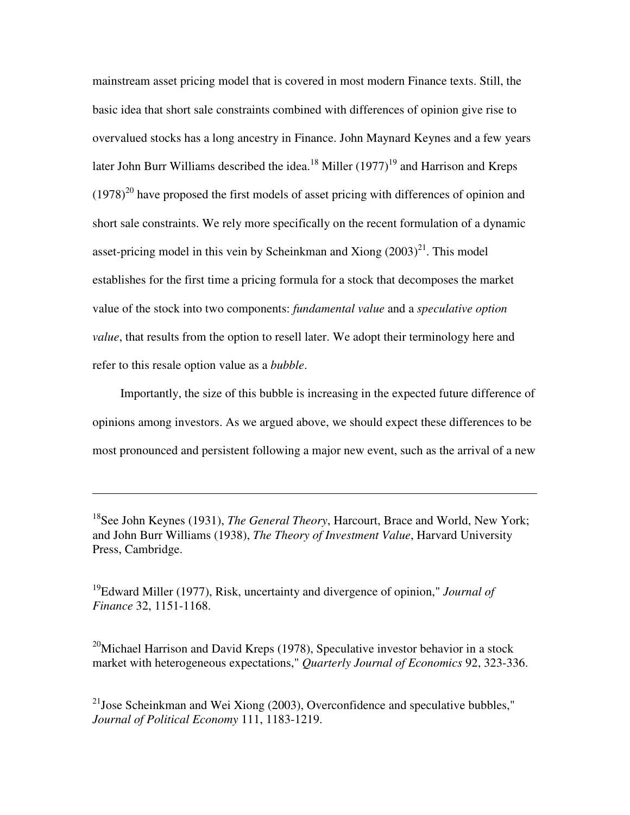mainstream asset pricing model that is covered in most modern Finance texts. Still, the basic idea that short sale constraints combined with differences of opinion give rise to overvalued stocks has a long ancestry in Finance. John Maynard Keynes and a few years later John Burr Williams described the idea.<sup>18</sup> Miller  $(1977)^{19}$  and Harrison and Kreps  $(1978)^{20}$  have proposed the first models of asset pricing with differences of opinion and short sale constraints. We rely more specifically on the recent formulation of a dynamic asset-pricing model in this vein by Scheinkman and Xiong  $(2003)^{21}$ . This model establishes for the first time a pricing formula for a stock that decomposes the market value of the stock into two components: *fundamental value* and a *speculative option value*, that results from the option to resell later. We adopt their terminology here and refer to this resale option value as a *bubble*.

 Importantly, the size of this bubble is increasing in the expected future difference of opinions among investors. As we argued above, we should expect these differences to be most pronounced and persistent following a major new event, such as the arrival of a new

<sup>18</sup>See John Keynes (1931), *The General Theory*, Harcourt, Brace and World, New York; and John Burr Williams (1938), *The Theory of Investment Value*, Harvard University Press, Cambridge.

<sup>19</sup>Edward Miller (1977), Risk, uncertainty and divergence of opinion," *Journal of Finance* 32, 1151-1168.

 $\overline{a}$ 

<sup>20</sup>Michael Harrison and David Kreps (1978), Speculative investor behavior in a stock market with heterogeneous expectations," *Quarterly Journal of Economics* 92, 323-336.

 $^{21}$ Jose Scheinkman and Wei Xiong (2003), Overconfidence and speculative bubbles," *Journal of Political Economy* 111, 1183-1219.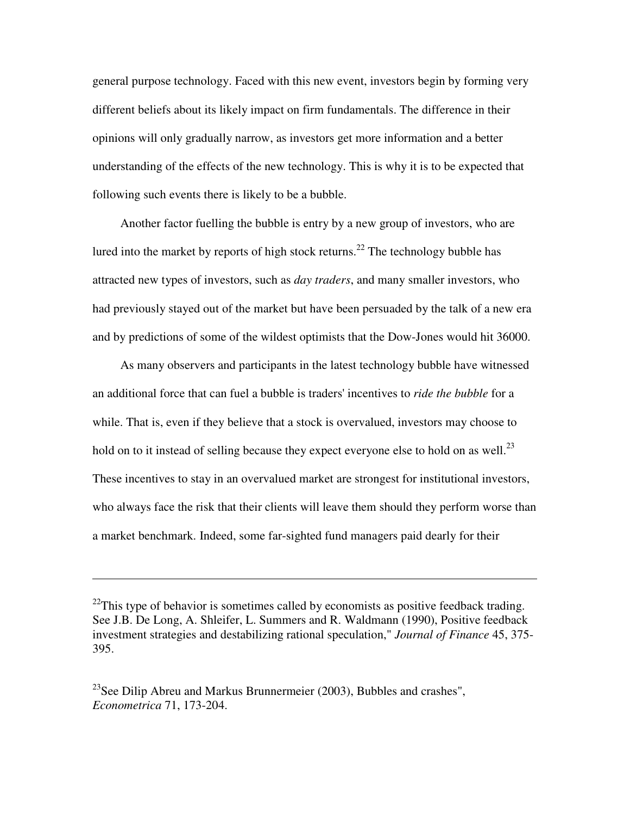general purpose technology. Faced with this new event, investors begin by forming very different beliefs about its likely impact on firm fundamentals. The difference in their opinions will only gradually narrow, as investors get more information and a better understanding of the effects of the new technology. This is why it is to be expected that following such events there is likely to be a bubble.

 Another factor fuelling the bubble is entry by a new group of investors, who are lured into the market by reports of high stock returns.<sup>22</sup> The technology bubble has attracted new types of investors, such as *day traders*, and many smaller investors, who had previously stayed out of the market but have been persuaded by the talk of a new era and by predictions of some of the wildest optimists that the Dow-Jones would hit 36000.

 As many observers and participants in the latest technology bubble have witnessed an additional force that can fuel a bubble is traders' incentives to *ride the bubble* for a while. That is, even if they believe that a stock is overvalued, investors may choose to hold on to it instead of selling because they expect everyone else to hold on as well.<sup>23</sup> These incentives to stay in an overvalued market are strongest for institutional investors, who always face the risk that their clients will leave them should they perform worse than a market benchmark. Indeed, some far-sighted fund managers paid dearly for their

 $^{23}$ See Dilip Abreu and Markus Brunnermeier (2003), Bubbles and crashes", *Econometrica* 71, 173-204.

 $^{22}$ This type of behavior is sometimes called by economists as positive feedback trading. See J.B. De Long, A. Shleifer, L. Summers and R. Waldmann (1990), Positive feedback investment strategies and destabilizing rational speculation," *Journal of Finance* 45, 375- 395.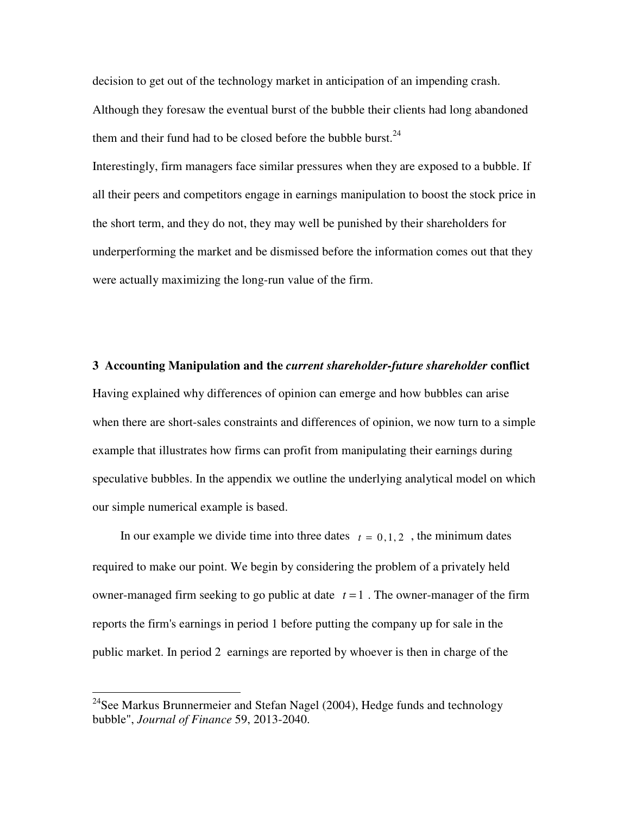decision to get out of the technology market in anticipation of an impending crash. Although they foresaw the eventual burst of the bubble their clients had long abandoned them and their fund had to be closed before the bubble burst.  $24$ 

Interestingly, firm managers face similar pressures when they are exposed to a bubble. If all their peers and competitors engage in earnings manipulation to boost the stock price in the short term, and they do not, they may well be punished by their shareholders for underperforming the market and be dismissed before the information comes out that they were actually maximizing the long-run value of the firm.

**3 Accounting Manipulation and the** *current shareholder-future shareholder* **conflict**  Having explained why differences of opinion can emerge and how bubbles can arise when there are short-sales constraints and differences of opinion, we now turn to a simple example that illustrates how firms can profit from manipulating their earnings during speculative bubbles. In the appendix we outline the underlying analytical model on which our simple numerical example is based.

In our example we divide time into three dates  $t = 0, 1, 2$ , the minimum dates required to make our point. We begin by considering the problem of a privately held owner-managed firm seeking to go public at date  $t = 1$ . The owner-manager of the firm reports the firm's earnings in period 1 before putting the company up for sale in the public market. In period 2 earnings are reported by whoever is then in charge of the

<sup>&</sup>lt;sup>24</sup>See Markus Brunnermeier and Stefan Nagel (2004), Hedge funds and technology bubble", *Journal of Finance* 59, 2013-2040.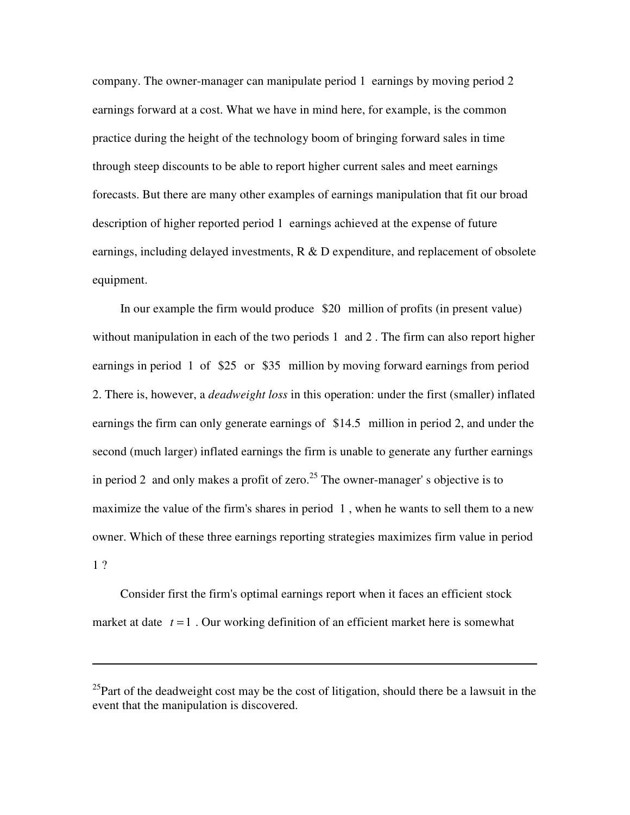company. The owner-manager can manipulate period 1 earnings by moving period 2 earnings forward at a cost. What we have in mind here, for example, is the common practice during the height of the technology boom of bringing forward sales in time through steep discounts to be able to report higher current sales and meet earnings forecasts. But there are many other examples of earnings manipulation that fit our broad description of higher reported period 1 earnings achieved at the expense of future earnings, including delayed investments, R & D expenditure, and replacement of obsolete equipment.

In our example the firm would produce  $$20$  million of profits (in present value) without manipulation in each of the two periods 1 and 2. The firm can also report higher earnings in period 1 of  $$25$  or  $$35$  million by moving forward earnings from period 2. There is, however, a *deadweight loss* in this operation: under the first (smaller) inflated earnings the firm can only generate earnings of  $$14.5$  million in period 2, and under the second (much larger) inflated earnings the firm is unable to generate any further earnings in period 2 and only makes a profit of zero.<sup>25</sup> The owner-manager' s objective is to maximize the value of the firm's shares in period 1 , when he wants to sell them to a new owner. Which of these three earnings reporting strategies maximizes firm value in period 1 ?

 Consider first the firm's optimal earnings report when it faces an efficient stock market at date  $t = 1$ . Our working definition of an efficient market here is somewhat

 $^{25}$ Part of the deadweight cost may be the cost of litigation, should there be a lawsuit in the event that the manipulation is discovered.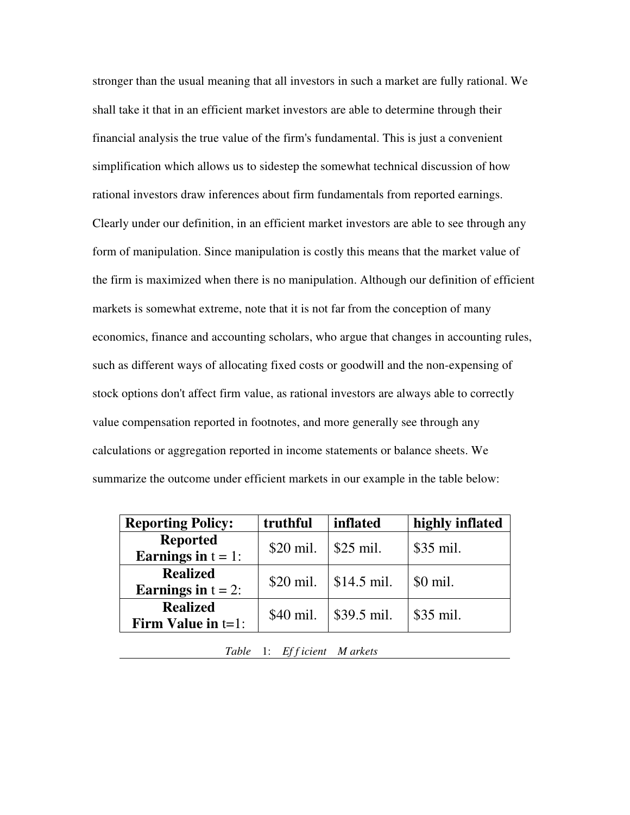stronger than the usual meaning that all investors in such a market are fully rational. We shall take it that in an efficient market investors are able to determine through their financial analysis the true value of the firm's fundamental. This is just a convenient simplification which allows us to sidestep the somewhat technical discussion of how rational investors draw inferences about firm fundamentals from reported earnings. Clearly under our definition, in an efficient market investors are able to see through any form of manipulation. Since manipulation is costly this means that the market value of the firm is maximized when there is no manipulation. Although our definition of efficient markets is somewhat extreme, note that it is not far from the conception of many economics, finance and accounting scholars, who argue that changes in accounting rules, such as different ways of allocating fixed costs or goodwill and the non-expensing of stock options don't affect firm value, as rational investors are always able to correctly value compensation reported in footnotes, and more generally see through any calculations or aggregation reported in income statements or balance sheets. We summarize the outcome under efficient markets in our example in the table below:

| <b>Reporting Policy:</b>                        | truthful   | inflated     | highly inflated |
|-------------------------------------------------|------------|--------------|-----------------|
| <b>Reported</b><br><b>Earnings in</b> $t = 1$ : | \$20 mil.  | $$25$ mil.   | $$35$ mil.      |
| <b>Realized</b><br>Earnings in $t = 2$ :        | $$20$ mil. | $$14.5$ mil. | \$0 mil.        |
| <b>Realized</b><br>Firm Value in $t=1$ :        | \$40 mil.  | $$39.5$ mil. | $$35$ mil.      |

*Table* 1: *Ef f icient M arkets*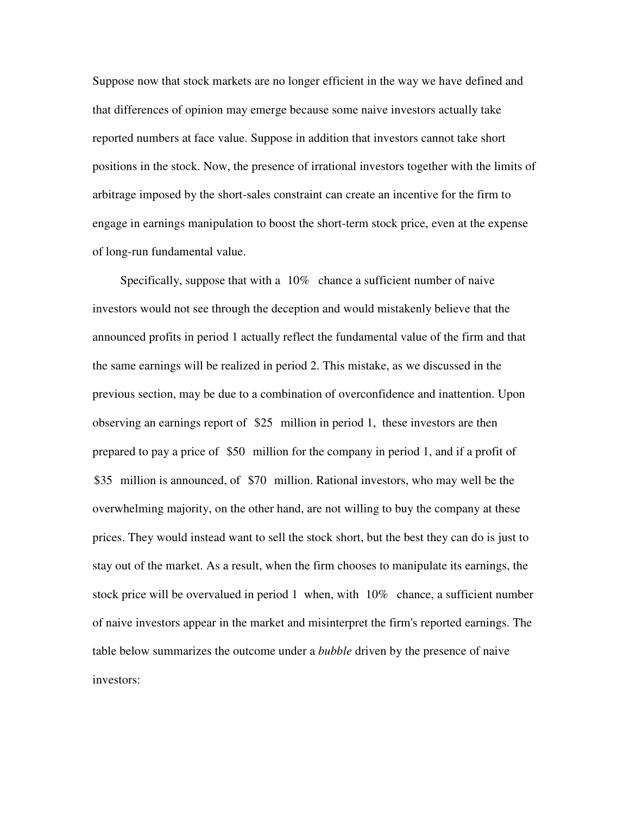Suppose now that stock markets are no longer efficient in the way we have defined and that differences of opinion may emerge because some naive investors actually take reported numbers at face value. Suppose in addition that investors cannot take short positions in the stock. Now, the presence of irrational investors together with the limits of arbitrage imposed by the short-sales constraint can create an incentive for the firm to engage in earnings manipulation to boost the short-term stock price, even at the expense of long-run fundamental value.

Specifically, suppose that with a  $10\%$  chance a sufficient number of naive investors would not see through the deception and would mistakenly believe that the announced profits in period 1 actually reflect the fundamental value of the firm and that the same earnings will be realized in period 2. This mistake, as we discussed in the previous section, may be due to a combination of overconfidence and inattention. Upon observing an earnings report of  $$25$  million in period 1, these investors are then prepared to pay a price of \$50 million for the company in period 1, and if a profit of \$35 million is announced, of \$70 million. Rational investors, who may well be the overwhelming majority, on the other hand, are not willing to buy the company at these prices. They would instead want to sell the stock short, but the best they can do is just to stay out of the market. As a result, when the firm chooses to manipulate its earnings, the stock price will be overvalued in period 1 when, with  $10\%$  chance, a sufficient number of naive investors appear in the market and misinterpret the firm's reported earnings. The table below summarizes the outcome under a *bubble* driven by the presence of naive investors: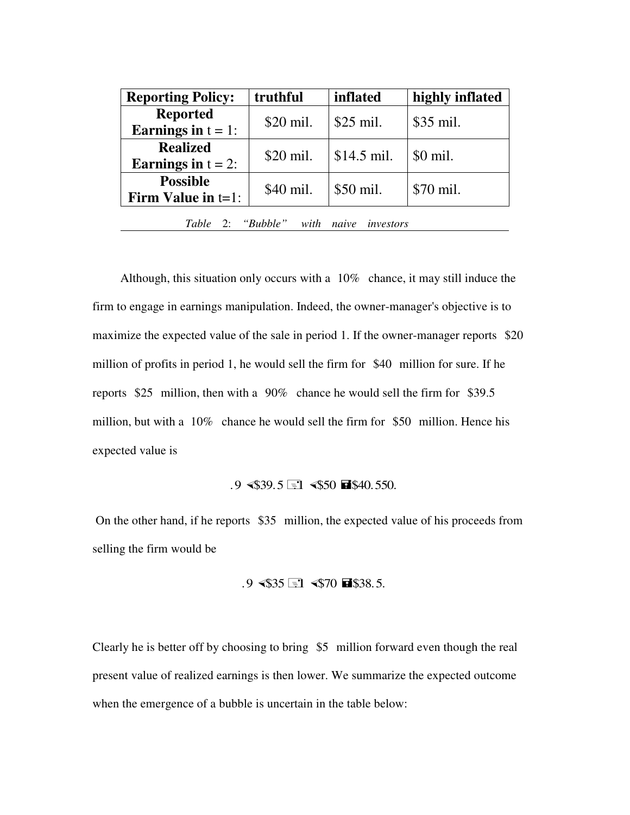| <b>Reported</b><br>\$20 mil.<br>$$25$ mil.<br>\$35 mil.<br>Earnings in $t = 1$ :         |  |
|------------------------------------------------------------------------------------------|--|
|                                                                                          |  |
| <b>Realized</b><br>$$14.5$ mil.<br>\$20 mil.<br>\$0 mil.<br><b>Earnings in</b> $t = 2$ : |  |
| <b>Possible</b><br>\$40 mil.<br>\$50 mil.<br>\$70 mil.<br>Firm Value in $t=1$ :          |  |

*Table* 2: *"Bubble" with naive investors* 

Although, this situation only occurs with a  $10\%$  chance, it may still induce the firm to engage in earnings manipulation. Indeed, the owner-manager's objective is to maximize the expected value of the sale in period 1. If the owner-manager reports  $$20$ million of profits in period 1, he would sell the firm for  $$40$  million for sure. If he reports  $$25$  million, then with a  $90\%$  chance he would sell the firm for  $$39.5$ million, but with a  $10\%$  chance he would sell the firm for \$50 million. Hence his expected value is

### .9  $$39.5 \equiv 1$   $$50$   $$1$40.550$ .

On the other hand, if he reports \$35 million, the expected value of his proceeds from selling the firm would be

$$
.9 \leq 35 = 1 \leq 70 \leq 38.5.
$$

Clearly he is better off by choosing to bring \$5 million forward even though the real present value of realized earnings is then lower. We summarize the expected outcome when the emergence of a bubble is uncertain in the table below: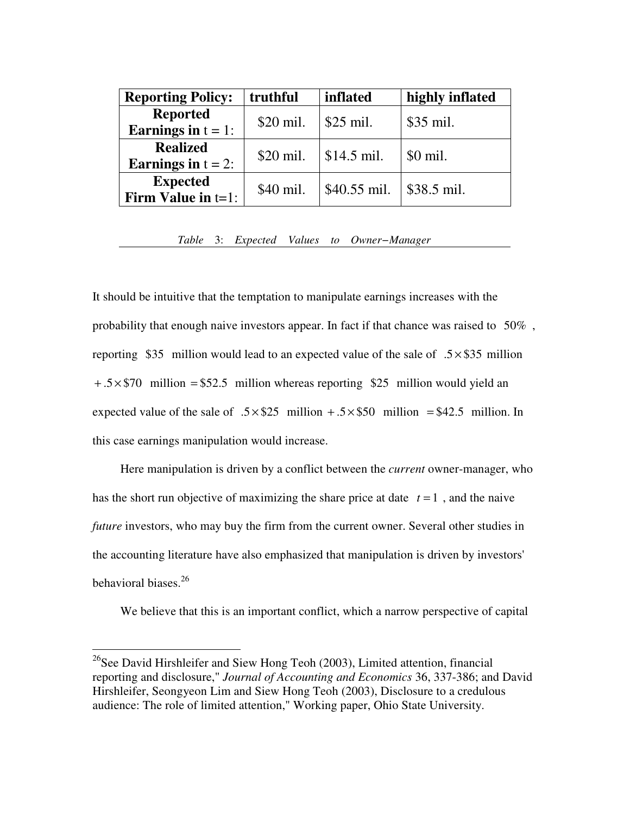| <b>Reporting Policy:</b>                 | truthful  | inflated      | highly inflated |
|------------------------------------------|-----------|---------------|-----------------|
| <b>Reported</b><br>Earnings in $t = 1$ : | \$20 mil. | $$25$ mil.    | $$35$ mil.      |
| <b>Realized</b><br>Earnings in $t = 2$ : | \$20 mil. | $$14.5$ mil.  | \$0 mil.        |
| <b>Expected</b><br>Firm Value in $t=1$ : | \$40 mil. | $$40.55$ mil. | $$38.5$ mil.    |

*Table* 3: *Expected Values to Owner−Manager* 

It should be intuitive that the temptation to manipulate earnings increases with the probability that enough naive investors appear. In fact if that chance was raised to  $50\%$ , reporting \$35 million would lead to an expected value of the sale of  $.5 \times $35$  million  $+ .5 \times $70$  million = \$52.5 million whereas reporting \$25 million would yield an expected value of the sale of  $.5 \times $25$  million +  $.5 \times $50$  million = \$42.5 million. In this case earnings manipulation would increase.

 Here manipulation is driven by a conflict between the *current* owner-manager, who has the short run objective of maximizing the share price at date  $t = 1$ , and the naive *future* investors, who may buy the firm from the current owner. Several other studies in the accounting literature have also emphasized that manipulation is driven by investors' behavioral biases.<sup>26</sup>

We believe that this is an important conflict, which a narrow perspective of capital

<sup>&</sup>lt;sup>26</sup>See David Hirshleifer and Siew Hong Teoh (2003), Limited attention, financial reporting and disclosure," *Journal of Accounting and Economics* 36, 337-386; and David Hirshleifer, Seongyeon Lim and Siew Hong Teoh (2003), Disclosure to a credulous audience: The role of limited attention," Working paper, Ohio State University.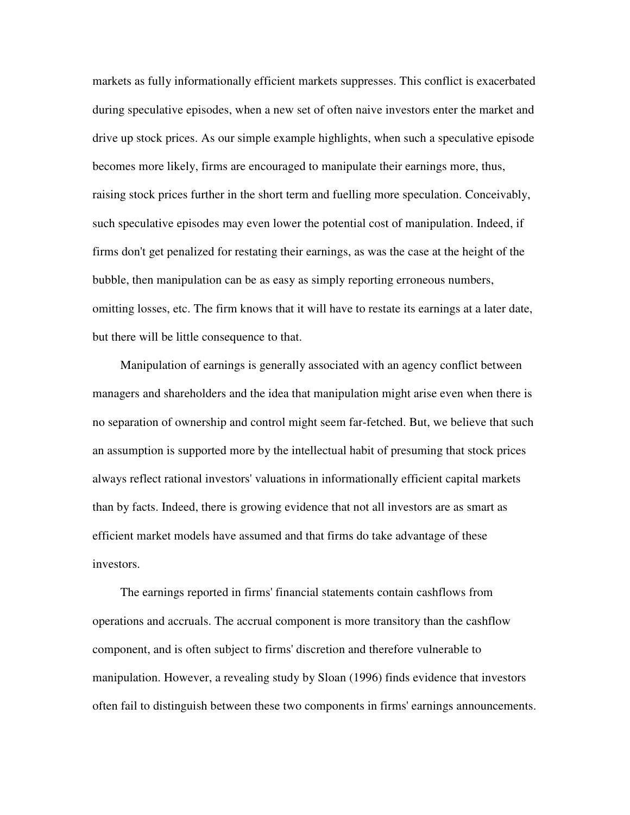markets as fully informationally efficient markets suppresses. This conflict is exacerbated during speculative episodes, when a new set of often naive investors enter the market and drive up stock prices. As our simple example highlights, when such a speculative episode becomes more likely, firms are encouraged to manipulate their earnings more, thus, raising stock prices further in the short term and fuelling more speculation. Conceivably, such speculative episodes may even lower the potential cost of manipulation. Indeed, if firms don't get penalized for restating their earnings, as was the case at the height of the bubble, then manipulation can be as easy as simply reporting erroneous numbers, omitting losses, etc. The firm knows that it will have to restate its earnings at a later date, but there will be little consequence to that.

 Manipulation of earnings is generally associated with an agency conflict between managers and shareholders and the idea that manipulation might arise even when there is no separation of ownership and control might seem far-fetched. But, we believe that such an assumption is supported more by the intellectual habit of presuming that stock prices always reflect rational investors' valuations in informationally efficient capital markets than by facts. Indeed, there is growing evidence that not all investors are as smart as efficient market models have assumed and that firms do take advantage of these investors.

 The earnings reported in firms' financial statements contain cashflows from operations and accruals. The accrual component is more transitory than the cashflow component, and is often subject to firms' discretion and therefore vulnerable to manipulation. However, a revealing study by Sloan (1996) finds evidence that investors often fail to distinguish between these two components in firms' earnings announcements.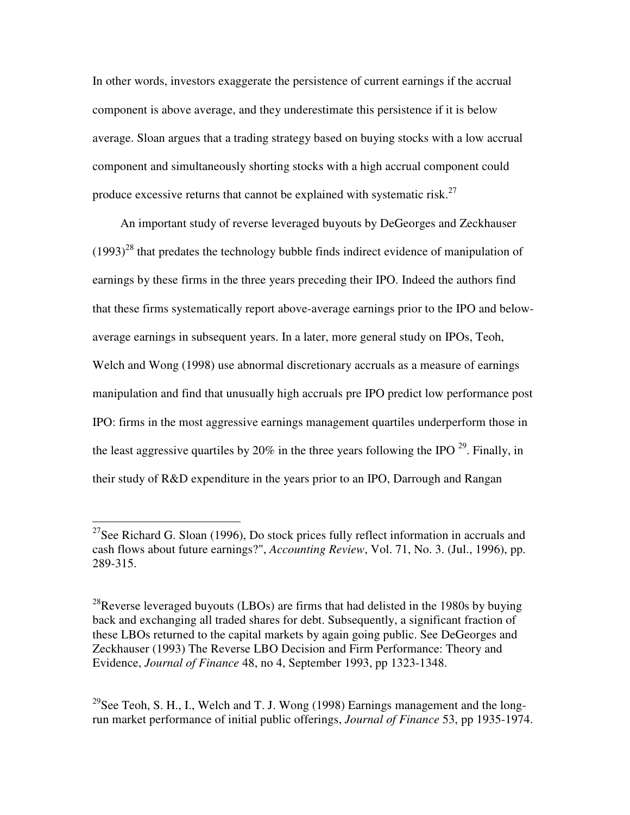In other words, investors exaggerate the persistence of current earnings if the accrual component is above average, and they underestimate this persistence if it is below average. Sloan argues that a trading strategy based on buying stocks with a low accrual component and simultaneously shorting stocks with a high accrual component could produce excessive returns that cannot be explained with systematic risk.<sup>27</sup>

 An important study of reverse leveraged buyouts by DeGeorges and Zeckhauser  $(1993)^{28}$  that predates the technology bubble finds indirect evidence of manipulation of earnings by these firms in the three years preceding their IPO. Indeed the authors find that these firms systematically report above-average earnings prior to the IPO and belowaverage earnings in subsequent years. In a later, more general study on IPOs, Teoh, Welch and Wong (1998) use abnormal discretionary accruals as a measure of earnings manipulation and find that unusually high accruals pre IPO predict low performance post IPO: firms in the most aggressive earnings management quartiles underperform those in the least aggressive quartiles by 20% in the three years following the IPO  $^{29}$ . Finally, in their study of R&D expenditure in the years prior to an IPO, Darrough and Rangan

 $27$ See Richard G. Sloan (1996), Do stock prices fully reflect information in accruals and cash flows about future earnings?", *Accounting Review*, Vol. 71, No. 3. (Jul., 1996), pp. 289-315.

 $^{28}$ Reverse leveraged buyouts (LBOs) are firms that had delisted in the 1980s by buying back and exchanging all traded shares for debt. Subsequently, a significant fraction of these LBOs returned to the capital markets by again going public. See DeGeorges and Zeckhauser (1993) The Reverse LBO Decision and Firm Performance: Theory and Evidence, *Journal of Finance* 48, no 4, September 1993, pp 1323-1348.

<sup>&</sup>lt;sup>29</sup>See Teoh, S. H., I., Welch and T. J. Wong (1998) Earnings management and the longrun market performance of initial public offerings, *Journal of Finance* 53, pp 1935-1974.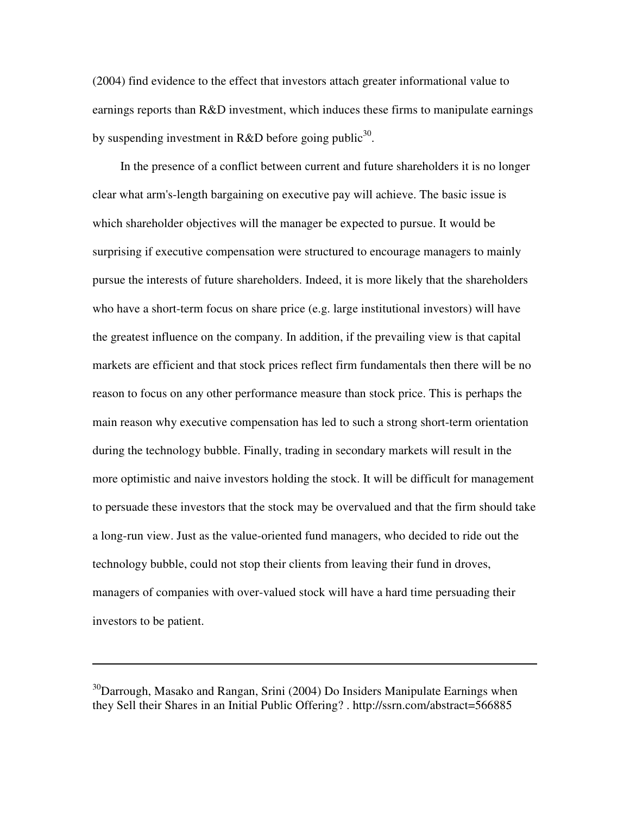(2004) find evidence to the effect that investors attach greater informational value to earnings reports than R&D investment, which induces these firms to manipulate earnings by suspending investment in R&D before going public<sup>30</sup>.

 In the presence of a conflict between current and future shareholders it is no longer clear what arm's-length bargaining on executive pay will achieve. The basic issue is which shareholder objectives will the manager be expected to pursue. It would be surprising if executive compensation were structured to encourage managers to mainly pursue the interests of future shareholders. Indeed, it is more likely that the shareholders who have a short-term focus on share price (e.g. large institutional investors) will have the greatest influence on the company. In addition, if the prevailing view is that capital markets are efficient and that stock prices reflect firm fundamentals then there will be no reason to focus on any other performance measure than stock price. This is perhaps the main reason why executive compensation has led to such a strong short-term orientation during the technology bubble. Finally, trading in secondary markets will result in the more optimistic and naive investors holding the stock. It will be difficult for management to persuade these investors that the stock may be overvalued and that the firm should take a long-run view. Just as the value-oriented fund managers, who decided to ride out the technology bubble, could not stop their clients from leaving their fund in droves, managers of companies with over-valued stock will have a hard time persuading their investors to be patient.

 $30$ Darrough, Masako and Rangan, Srini (2004) Do Insiders Manipulate Earnings when they Sell their Shares in an Initial Public Offering? . http://ssrn.com/abstract=566885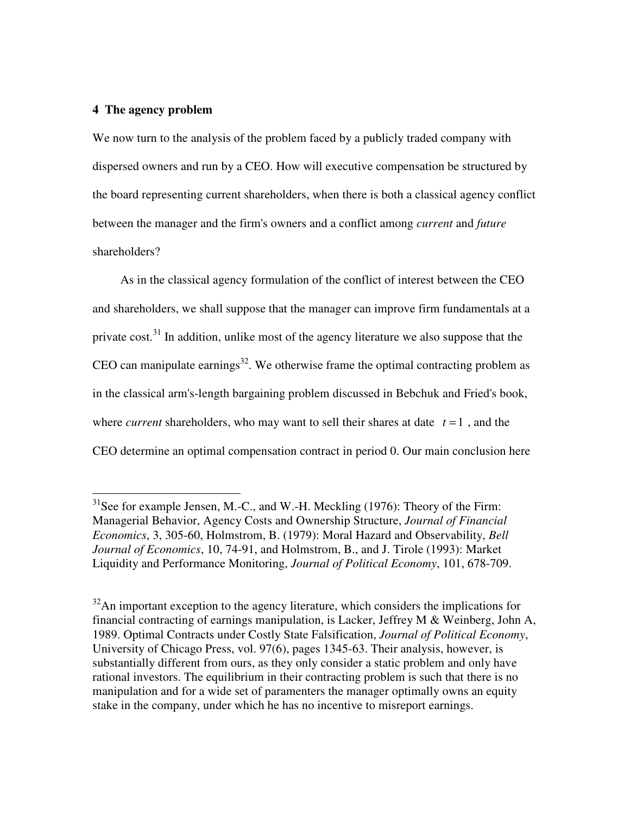#### **4 The agency problem**

 $\overline{a}$ 

We now turn to the analysis of the problem faced by a publicly traded company with dispersed owners and run by a CEO. How will executive compensation be structured by the board representing current shareholders, when there is both a classical agency conflict between the manager and the firm's owners and a conflict among *current* and *future* shareholders?

 As in the classical agency formulation of the conflict of interest between the CEO and shareholders, we shall suppose that the manager can improve firm fundamentals at a private cost.<sup>31</sup> In addition, unlike most of the agency literature we also suppose that the CEO can manipulate earnings<sup>32</sup>. We otherwise frame the optimal contracting problem as in the classical arm's-length bargaining problem discussed in Bebchuk and Fried's book, where *current* shareholders, who may want to sell their shares at date  $t = 1$ , and the CEO determine an optimal compensation contract in period 0. Our main conclusion here

 $31$ See for example Jensen, M.-C., and W.-H. Meckling (1976): Theory of the Firm: Managerial Behavior, Agency Costs and Ownership Structure, *Journal of Financial Economics*, 3, 305-60, Holmstrom, B. (1979): Moral Hazard and Observability, *Bell Journal of Economics*, 10, 74-91, and Holmstrom, B., and J. Tirole (1993): Market Liquidity and Performance Monitoring, *Journal of Political Economy*, 101, 678-709.

 $32<sup>32</sup>$ An important exception to the agency literature, which considers the implications for financial contracting of earnings manipulation, is Lacker, Jeffrey M & Weinberg, John A, 1989. Optimal Contracts under Costly State Falsification, *Journal of Political Economy*, University of Chicago Press, vol. 97(6), pages 1345-63. Their analysis, however, is substantially different from ours, as they only consider a static problem and only have rational investors. The equilibrium in their contracting problem is such that there is no manipulation and for a wide set of paramenters the manager optimally owns an equity stake in the company, under which he has no incentive to misreport earnings.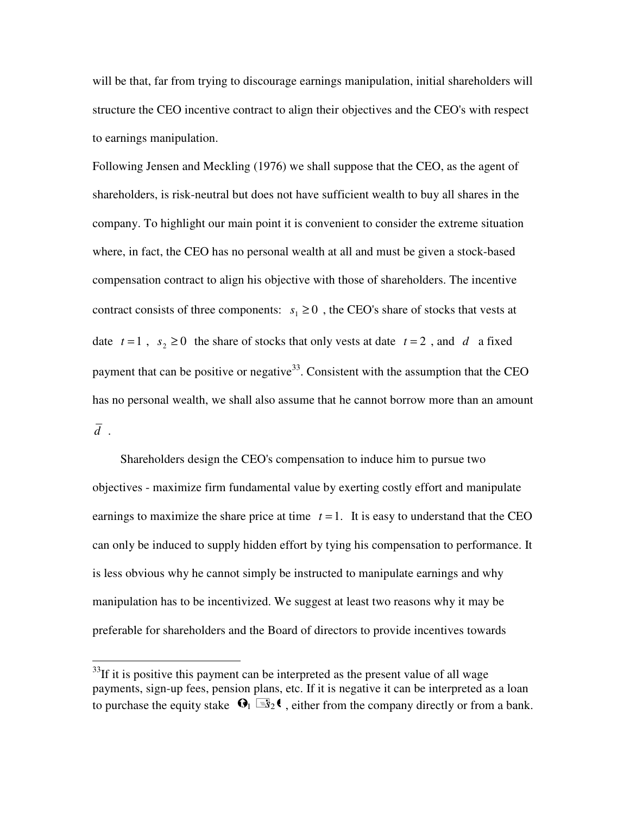will be that, far from trying to discourage earnings manipulation, initial shareholders will structure the CEO incentive contract to align their objectives and the CEO's with respect to earnings manipulation.

Following Jensen and Meckling (1976) we shall suppose that the CEO, as the agent of shareholders, is risk-neutral but does not have sufficient wealth to buy all shares in the company. To highlight our main point it is convenient to consider the extreme situation where, in fact, the CEO has no personal wealth at all and must be given a stock-based compensation contract to align his objective with those of shareholders. The incentive contract consists of three components:  $s_1 \ge 0$ , the CEO's share of stocks that vests at date  $t = 1$ ,  $s_2 \ge 0$  the share of stocks that only vests at date  $t = 2$ , and *d* a fixed payment that can be positive or negative  $33$ . Consistent with the assumption that the CEO has no personal wealth, we shall also assume that he cannot borrow more than an amount  $\overline{d}$ .

 Shareholders design the CEO's compensation to induce him to pursue two objectives - maximize firm fundamental value by exerting costly effort and manipulate earnings to maximize the share price at time  $t = 1$ . It is easy to understand that the CEO can only be induced to supply hidden effort by tying his compensation to performance. It is less obvious why he cannot simply be instructed to manipulate earnings and why manipulation has to be incentivized. We suggest at least two reasons why it may be preferable for shareholders and the Board of directors to provide incentives towards

l

 $33$ If it is positive this payment can be interpreted as the present value of all wage payments, sign-up fees, pension plans, etc. If it is negative it can be interpreted as a loan to purchase the equity stake  $\mathbf{\Theta}_1 \sqsubseteq \mathbf{\Phi}_2 \mathbf{\Theta}$ , either from the company directly or from a bank.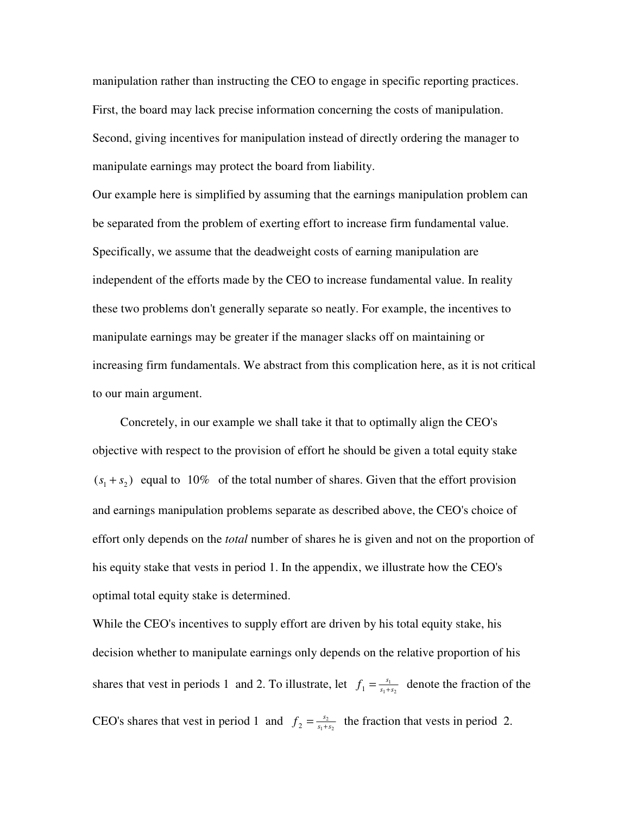manipulation rather than instructing the CEO to engage in specific reporting practices. First, the board may lack precise information concerning the costs of manipulation. Second, giving incentives for manipulation instead of directly ordering the manager to manipulate earnings may protect the board from liability.

Our example here is simplified by assuming that the earnings manipulation problem can be separated from the problem of exerting effort to increase firm fundamental value. Specifically, we assume that the deadweight costs of earning manipulation are independent of the efforts made by the CEO to increase fundamental value. In reality these two problems don't generally separate so neatly. For example, the incentives to manipulate earnings may be greater if the manager slacks off on maintaining or increasing firm fundamentals. We abstract from this complication here, as it is not critical to our main argument.

 Concretely, in our example we shall take it that to optimally align the CEO's objective with respect to the provision of effort he should be given a total equity stake  $(s_1 + s_2)$  equal to 10% of the total number of shares. Given that the effort provision and earnings manipulation problems separate as described above, the CEO's choice of effort only depends on the *total* number of shares he is given and not on the proportion of his equity stake that vests in period 1. In the appendix, we illustrate how the CEO's optimal total equity stake is determined.

While the CEO's incentives to supply effort are driven by his total equity stake, his decision whether to manipulate earnings only depends on the relative proportion of his shares that vest in periods 1 and 2. To illustrate, let  $f_1 = \frac{s_1}{s_1 + s_2}$  $\frac{s_1}{s_1+s_2}$  $f_1 = \frac{s_1}{s_1 + s_2}$  denote the fraction of the CEO's shares that vest in period 1 and  $f_2 = \frac{s_2}{s_1 + s_2}$  $\frac{s_2}{s_1+s_2}$  $f_2 = \frac{s_2}{s_1 + s_2}$  the fraction that vests in period 2.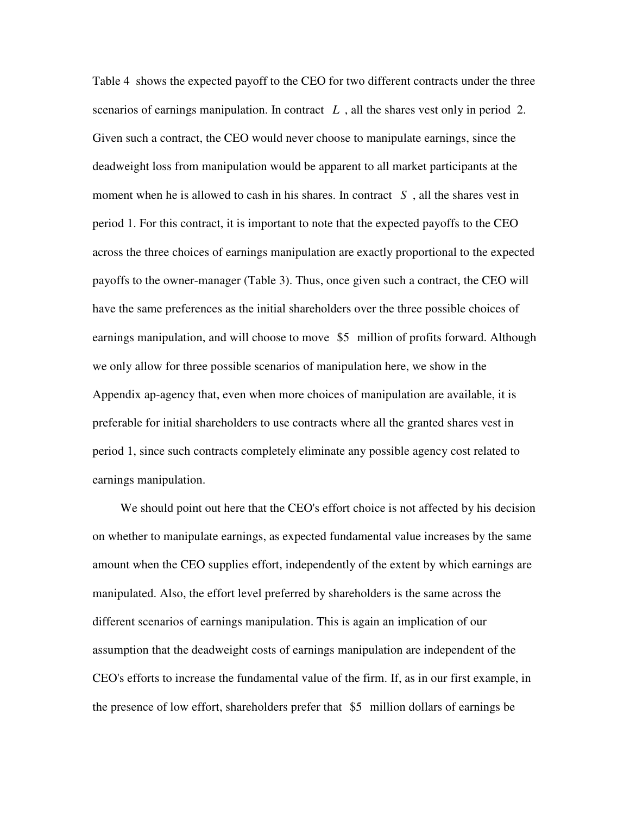Table 4 shows the expected payoff to the CEO for two different contracts under the three scenarios of earnings manipulation. In contract L, all the shares vest only in period 2. Given such a contract, the CEO would never choose to manipulate earnings, since the deadweight loss from manipulation would be apparent to all market participants at the moment when he is allowed to cash in his shares. In contract *S* , all the shares vest in period 1. For this contract, it is important to note that the expected payoffs to the CEO across the three choices of earnings manipulation are exactly proportional to the expected payoffs to the owner-manager (Table 3). Thus, once given such a contract, the CEO will have the same preferences as the initial shareholders over the three possible choices of earnings manipulation, and will choose to move \$5 million of profits forward. Although we only allow for three possible scenarios of manipulation here, we show in the Appendix ap-agency that, even when more choices of manipulation are available, it is preferable for initial shareholders to use contracts where all the granted shares vest in period 1, since such contracts completely eliminate any possible agency cost related to earnings manipulation.

 We should point out here that the CEO's effort choice is not affected by his decision on whether to manipulate earnings, as expected fundamental value increases by the same amount when the CEO supplies effort, independently of the extent by which earnings are manipulated. Also, the effort level preferred by shareholders is the same across the different scenarios of earnings manipulation. This is again an implication of our assumption that the deadweight costs of earnings manipulation are independent of the CEO's efforts to increase the fundamental value of the firm. If, as in our first example, in the presence of low effort, shareholders prefer that \$5 million dollars of earnings be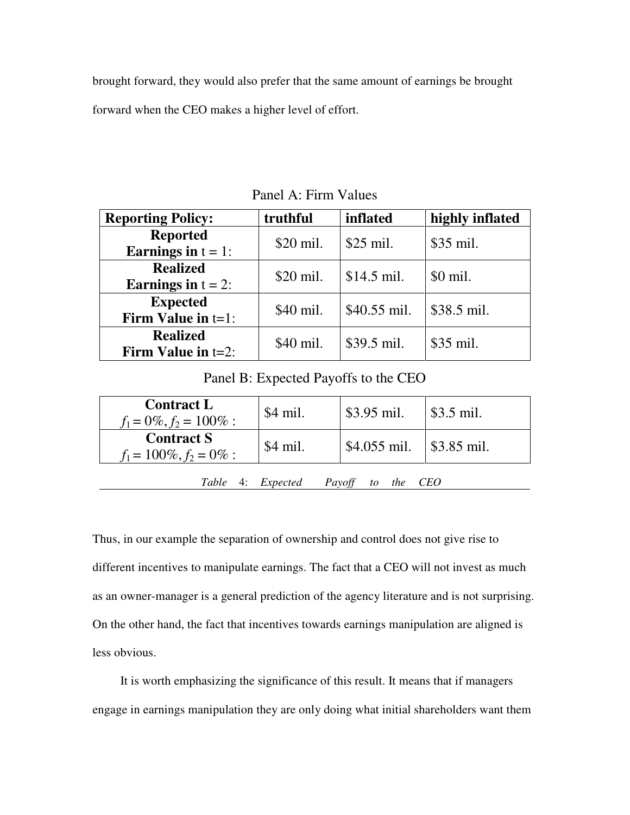brought forward, they would also prefer that the same amount of earnings be brought forward when the CEO makes a higher level of effort.

| <b>Reporting Policy:</b>     | truthful  | inflated     | highly inflated |
|------------------------------|-----------|--------------|-----------------|
| <b>Reported</b>              | \$20 mil. | $$25$ mil.   | \$35 mil.       |
| Earnings in $t = 1$ :        |           |              |                 |
| <b>Realized</b>              | \$20 mil. | $$14.5$ mil. | \$0 mil.        |
| <b>Earnings in</b> $t = 2$ : |           |              |                 |
| <b>Expected</b>              | \$40 mil. | \$40.55 mil. | $$38.5$ mil.    |
| Firm Value in $t=1$ :        |           |              |                 |
| <b>Realized</b>              | \$40 mil. | \$39.5 mil.  | \$35 mil.       |
| Firm Value in $t=2$ :        |           |              |                 |

Panel A: Firm Values

Panel B: Expected Payoffs to the CEO

| <b>Contract S</b><br>$\frac{1}{2}4.055$ mil.<br>\$4 mil.<br>$$3.85$ mil. | <b>Contract L</b><br>$f_1 = 0\%, f_2 = 100\%$ : | \$4 mil. | $\frac{1}{2}$ \$3.95 mil. | $\frac{1}{2}$ \$3.5 mil. |
|--------------------------------------------------------------------------|-------------------------------------------------|----------|---------------------------|--------------------------|
|                                                                          | $f_1 = 100\%, f_2 = 0\%$ :                      |          |                           |                          |

*Table* 4: *Expected Payoff to the CEO* 

Thus, in our example the separation of ownership and control does not give rise to different incentives to manipulate earnings. The fact that a CEO will not invest as much as an owner-manager is a general prediction of the agency literature and is not surprising. On the other hand, the fact that incentives towards earnings manipulation are aligned is less obvious.

 It is worth emphasizing the significance of this result. It means that if managers engage in earnings manipulation they are only doing what initial shareholders want them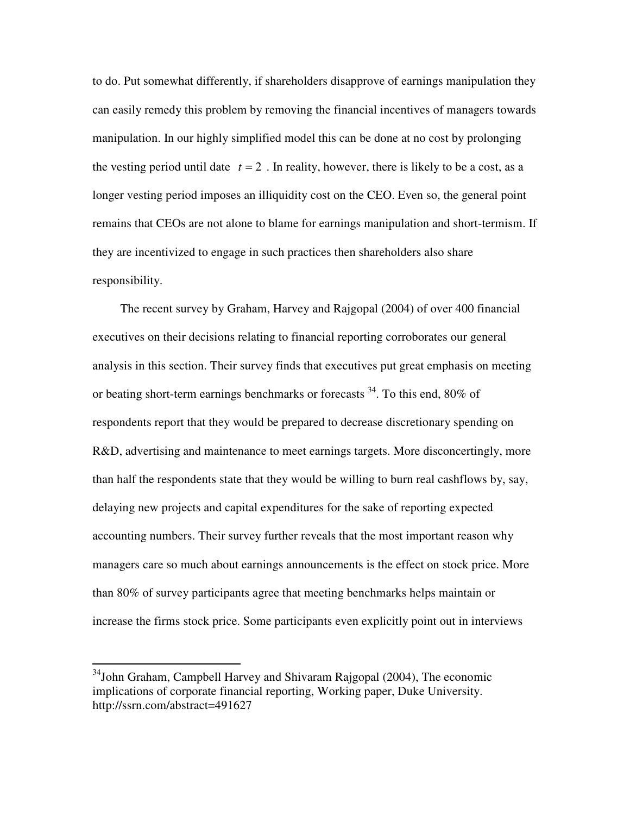to do. Put somewhat differently, if shareholders disapprove of earnings manipulation they can easily remedy this problem by removing the financial incentives of managers towards manipulation. In our highly simplified model this can be done at no cost by prolonging the vesting period until date  $t = 2$ . In reality, however, there is likely to be a cost, as a longer vesting period imposes an illiquidity cost on the CEO. Even so, the general point remains that CEOs are not alone to blame for earnings manipulation and short-termism. If they are incentivized to engage in such practices then shareholders also share responsibility.

 The recent survey by Graham, Harvey and Rajgopal (2004) of over 400 financial executives on their decisions relating to financial reporting corroborates our general analysis in this section. Their survey finds that executives put great emphasis on meeting or beating short-term earnings benchmarks or forecasts <sup>34</sup>. To this end, 80% of respondents report that they would be prepared to decrease discretionary spending on R&D, advertising and maintenance to meet earnings targets. More disconcertingly, more than half the respondents state that they would be willing to burn real cashflows by, say, delaying new projects and capital expenditures for the sake of reporting expected accounting numbers. Their survey further reveals that the most important reason why managers care so much about earnings announcements is the effect on stock price. More than 80% of survey participants agree that meeting benchmarks helps maintain or increase the firms stock price. Some participants even explicitly point out in interviews

<sup>&</sup>lt;sup>34</sup>John Graham, Campbell Harvey and Shivaram Rajgopal (2004), The economic implications of corporate financial reporting, Working paper, Duke University. http://ssrn.com/abstract=491627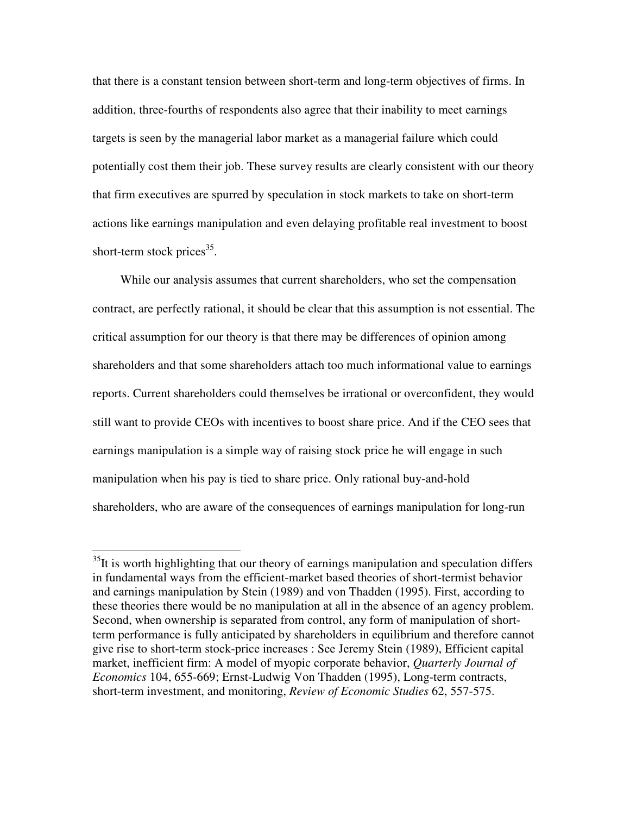that there is a constant tension between short-term and long-term objectives of firms. In addition, three-fourths of respondents also agree that their inability to meet earnings targets is seen by the managerial labor market as a managerial failure which could potentially cost them their job. These survey results are clearly consistent with our theory that firm executives are spurred by speculation in stock markets to take on short-term actions like earnings manipulation and even delaying profitable real investment to boost short-term stock prices<sup>35</sup>.

 While our analysis assumes that current shareholders, who set the compensation contract, are perfectly rational, it should be clear that this assumption is not essential. The critical assumption for our theory is that there may be differences of opinion among shareholders and that some shareholders attach too much informational value to earnings reports. Current shareholders could themselves be irrational or overconfident, they would still want to provide CEOs with incentives to boost share price. And if the CEO sees that earnings manipulation is a simple way of raising stock price he will engage in such manipulation when his pay is tied to share price. Only rational buy-and-hold shareholders, who are aware of the consequences of earnings manipulation for long-run

l

 $35$ It is worth highlighting that our theory of earnings manipulation and speculation differs in fundamental ways from the efficient-market based theories of short-termist behavior and earnings manipulation by Stein (1989) and von Thadden (1995). First, according to these theories there would be no manipulation at all in the absence of an agency problem. Second, when ownership is separated from control, any form of manipulation of shortterm performance is fully anticipated by shareholders in equilibrium and therefore cannot give rise to short-term stock-price increases : See Jeremy Stein (1989), Efficient capital market, inefficient firm: A model of myopic corporate behavior, *Quarterly Journal of Economics* 104, 655-669; Ernst-Ludwig Von Thadden (1995), Long-term contracts, short-term investment, and monitoring, *Review of Economic Studies* 62, 557-575.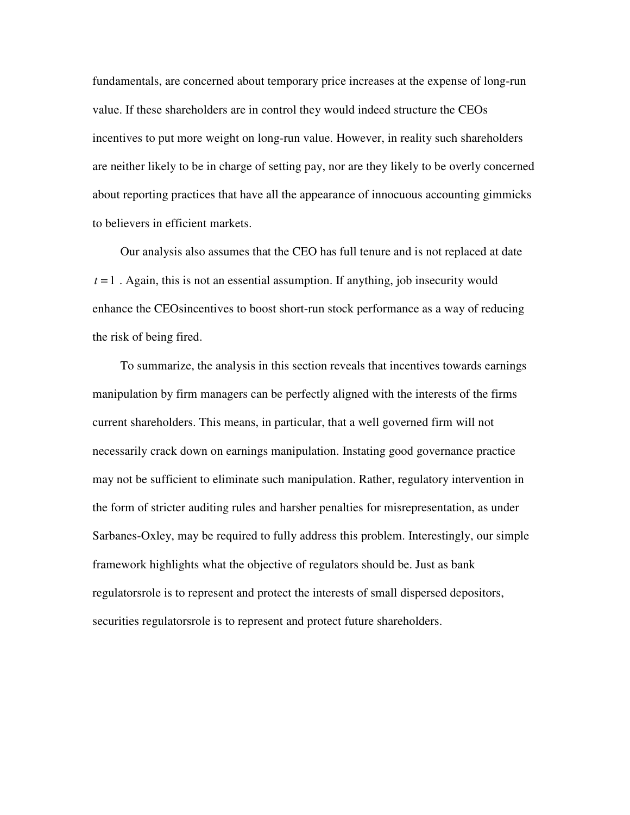fundamentals, are concerned about temporary price increases at the expense of long-run value. If these shareholders are in control they would indeed structure the CEOs incentives to put more weight on long-run value. However, in reality such shareholders are neither likely to be in charge of setting pay, nor are they likely to be overly concerned about reporting practices that have all the appearance of innocuous accounting gimmicks to believers in efficient markets.

 Our analysis also assumes that the CEO has full tenure and is not replaced at date  $t = 1$ . Again, this is not an essential assumption. If anything, job insecurity would enhance the CEOsincentives to boost short-run stock performance as a way of reducing the risk of being fired.

 To summarize, the analysis in this section reveals that incentives towards earnings manipulation by firm managers can be perfectly aligned with the interests of the firms current shareholders. This means, in particular, that a well governed firm will not necessarily crack down on earnings manipulation. Instating good governance practice may not be sufficient to eliminate such manipulation. Rather, regulatory intervention in the form of stricter auditing rules and harsher penalties for misrepresentation, as under Sarbanes-Oxley, may be required to fully address this problem. Interestingly, our simple framework highlights what the objective of regulators should be. Just as bank regulatorsrole is to represent and protect the interests of small dispersed depositors, securities regulatorsrole is to represent and protect future shareholders.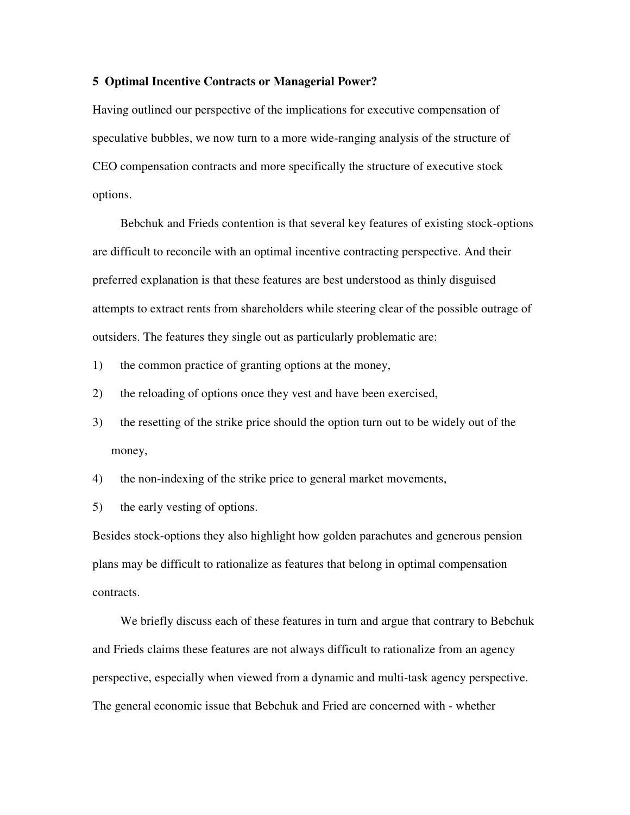#### **5 Optimal Incentive Contracts or Managerial Power?**

Having outlined our perspective of the implications for executive compensation of speculative bubbles, we now turn to a more wide-ranging analysis of the structure of CEO compensation contracts and more specifically the structure of executive stock options.

 Bebchuk and Frieds contention is that several key features of existing stock-options are difficult to reconcile with an optimal incentive contracting perspective. And their preferred explanation is that these features are best understood as thinly disguised attempts to extract rents from shareholders while steering clear of the possible outrage of outsiders. The features they single out as particularly problematic are:

1) the common practice of granting options at the money,

2) the reloading of options once they vest and have been exercised,

3) the resetting of the strike price should the option turn out to be widely out of the money,

4) the non-indexing of the strike price to general market movements,

5) the early vesting of options.

Besides stock-options they also highlight how golden parachutes and generous pension plans may be difficult to rationalize as features that belong in optimal compensation contracts.

 We briefly discuss each of these features in turn and argue that contrary to Bebchuk and Frieds claims these features are not always difficult to rationalize from an agency perspective, especially when viewed from a dynamic and multi-task agency perspective. The general economic issue that Bebchuk and Fried are concerned with - whether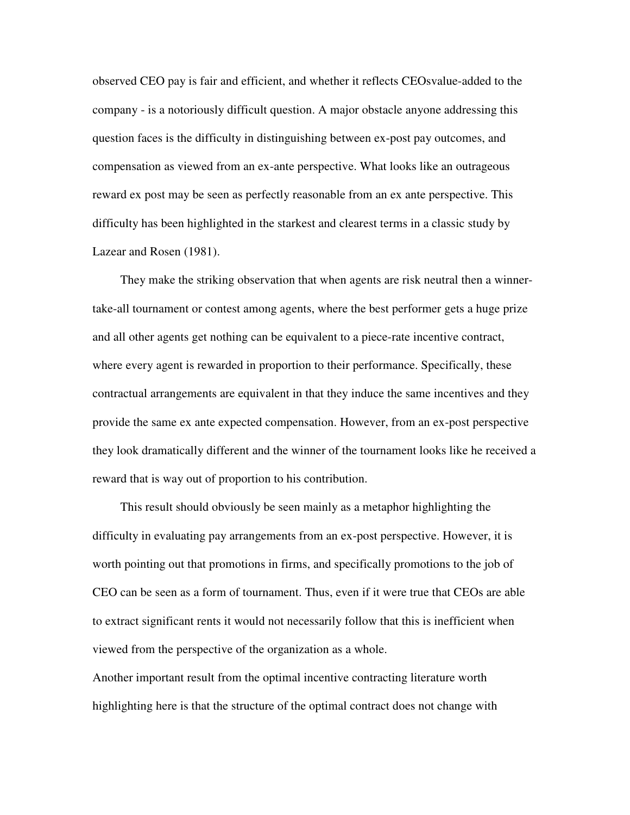observed CEO pay is fair and efficient, and whether it reflects CEOsvalue-added to the company - is a notoriously difficult question. A major obstacle anyone addressing this question faces is the difficulty in distinguishing between ex-post pay outcomes, and compensation as viewed from an ex-ante perspective. What looks like an outrageous reward ex post may be seen as perfectly reasonable from an ex ante perspective. This difficulty has been highlighted in the starkest and clearest terms in a classic study by Lazear and Rosen (1981).

 They make the striking observation that when agents are risk neutral then a winnertake-all tournament or contest among agents, where the best performer gets a huge prize and all other agents get nothing can be equivalent to a piece-rate incentive contract, where every agent is rewarded in proportion to their performance. Specifically, these contractual arrangements are equivalent in that they induce the same incentives and they provide the same ex ante expected compensation. However, from an ex-post perspective they look dramatically different and the winner of the tournament looks like he received a reward that is way out of proportion to his contribution.

 This result should obviously be seen mainly as a metaphor highlighting the difficulty in evaluating pay arrangements from an ex-post perspective. However, it is worth pointing out that promotions in firms, and specifically promotions to the job of CEO can be seen as a form of tournament. Thus, even if it were true that CEOs are able to extract significant rents it would not necessarily follow that this is inefficient when viewed from the perspective of the organization as a whole.

Another important result from the optimal incentive contracting literature worth highlighting here is that the structure of the optimal contract does not change with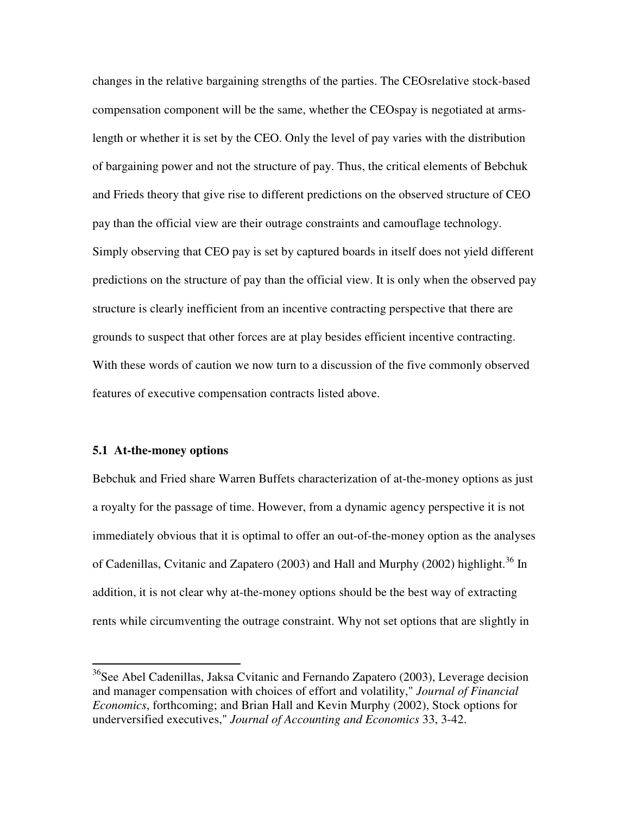changes in the relative bargaining strengths of the parties. The CEOsrelative stock-based compensation component will be the same, whether the CEOspay is negotiated at armslength or whether it is set by the CEO. Only the level of pay varies with the distribution of bargaining power and not the structure of pay. Thus, the critical elements of Bebchuk and Frieds theory that give rise to different predictions on the observed structure of CEO pay than the official view are their outrage constraints and camouflage technology. Simply observing that CEO pay is set by captured boards in itself does not yield different predictions on the structure of pay than the official view. It is only when the observed pay structure is clearly inefficient from an incentive contracting perspective that there are grounds to suspect that other forces are at play besides efficient incentive contracting. With these words of caution we now turn to a discussion of the five commonly observed features of executive compensation contracts listed above.

#### **5.1 At-the-money options**

 $\ddot{ }$ 

Bebchuk and Fried share Warren Buffets characterization of at-the-money options as just a royalty for the passage of time. However, from a dynamic agency perspective it is not immediately obvious that it is optimal to offer an out-of-the-money option as the analyses of Cadenillas, Cvitanic and Zapatero (2003) and Hall and Murphy (2002) highlight.<sup>36</sup> In addition, it is not clear why at-the-money options should be the best way of extracting rents while circumventing the outrage constraint. Why not set options that are slightly in

<sup>&</sup>lt;sup>36</sup>See Abel Cadenillas, Jaksa Cvitanic and Fernando Zapatero (2003), Leverage decision and manager compensation with choices of effort and volatility," *Journal of Financial Economics*, forthcoming; and Brian Hall and Kevin Murphy (2002), Stock options for underversified executives," *Journal of Accounting and Economics* 33, 3-42.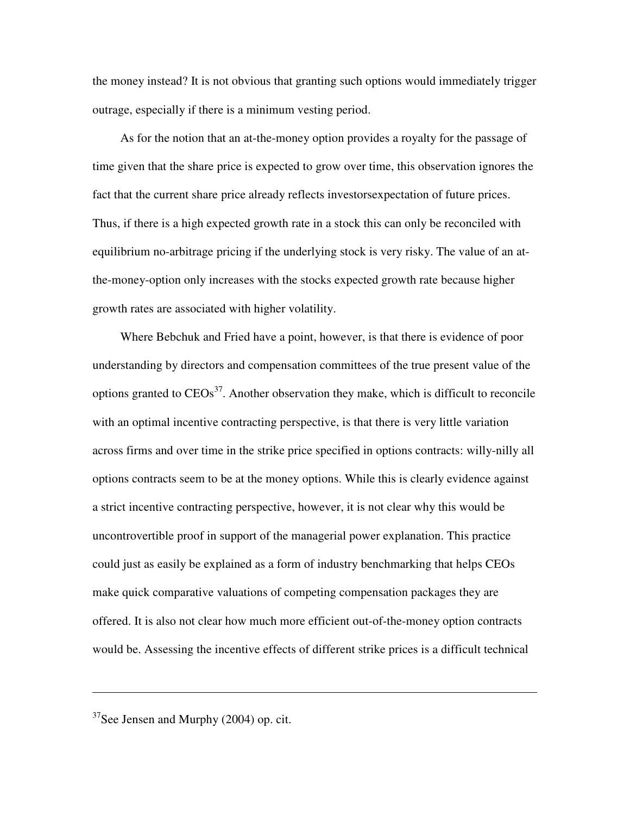the money instead? It is not obvious that granting such options would immediately trigger outrage, especially if there is a minimum vesting period.

 As for the notion that an at-the-money option provides a royalty for the passage of time given that the share price is expected to grow over time, this observation ignores the fact that the current share price already reflects investorsexpectation of future prices. Thus, if there is a high expected growth rate in a stock this can only be reconciled with equilibrium no-arbitrage pricing if the underlying stock is very risky. The value of an atthe-money-option only increases with the stocks expected growth rate because higher growth rates are associated with higher volatility.

 Where Bebchuk and Fried have a point, however, is that there is evidence of poor understanding by directors and compensation committees of the true present value of the options granted to  $CEOs<sup>37</sup>$ . Another observation they make, which is difficult to reconcile with an optimal incentive contracting perspective, is that there is very little variation across firms and over time in the strike price specified in options contracts: willy-nilly all options contracts seem to be at the money options. While this is clearly evidence against a strict incentive contracting perspective, however, it is not clear why this would be uncontrovertible proof in support of the managerial power explanation. This practice could just as easily be explained as a form of industry benchmarking that helps CEOs make quick comparative valuations of competing compensation packages they are offered. It is also not clear how much more efficient out-of-the-money option contracts would be. Assessing the incentive effects of different strike prices is a difficult technical

l

 $37$ See Jensen and Murphy (2004) op. cit.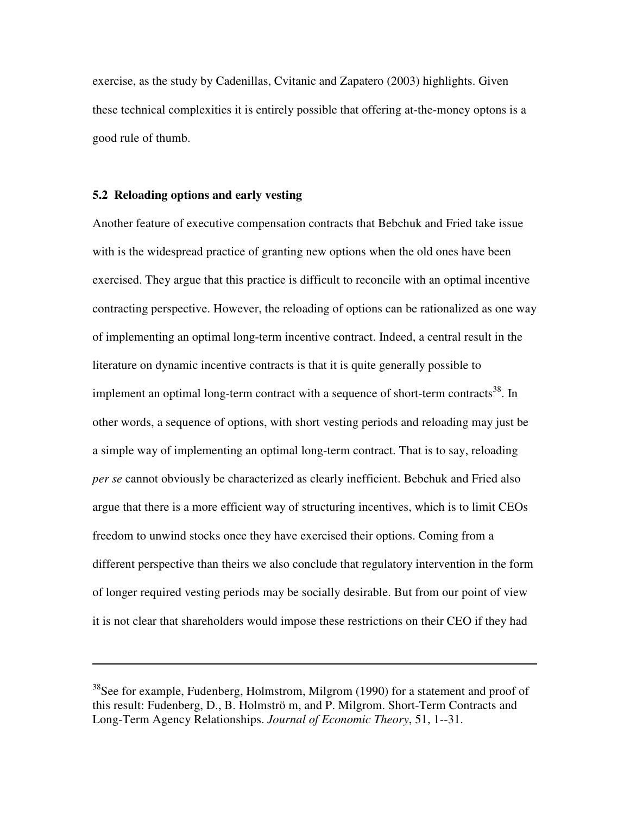exercise, as the study by Cadenillas, Cvitanic and Zapatero (2003) highlights. Given these technical complexities it is entirely possible that offering at-the-money optons is a good rule of thumb.

#### **5.2 Reloading options and early vesting**

 $\ddot{ }$ 

Another feature of executive compensation contracts that Bebchuk and Fried take issue with is the widespread practice of granting new options when the old ones have been exercised. They argue that this practice is difficult to reconcile with an optimal incentive contracting perspective. However, the reloading of options can be rationalized as one way of implementing an optimal long-term incentive contract. Indeed, a central result in the literature on dynamic incentive contracts is that it is quite generally possible to implement an optimal long-term contract with a sequence of short-term contracts<sup>38</sup>. In other words, a sequence of options, with short vesting periods and reloading may just be a simple way of implementing an optimal long-term contract. That is to say, reloading *per se* cannot obviously be characterized as clearly inefficient. Bebchuk and Fried also argue that there is a more efficient way of structuring incentives, which is to limit CEOs freedom to unwind stocks once they have exercised their options. Coming from a different perspective than theirs we also conclude that regulatory intervention in the form of longer required vesting periods may be socially desirable. But from our point of view it is not clear that shareholders would impose these restrictions on their CEO if they had

<sup>&</sup>lt;sup>38</sup>See for example, Fudenberg, Holmstrom, Milgrom (1990) for a statement and proof of this result: Fudenberg, D., B. Holmströ m, and P. Milgrom. Short-Term Contracts and Long-Term Agency Relationships. *Journal of Economic Theory*, 51, 1--31.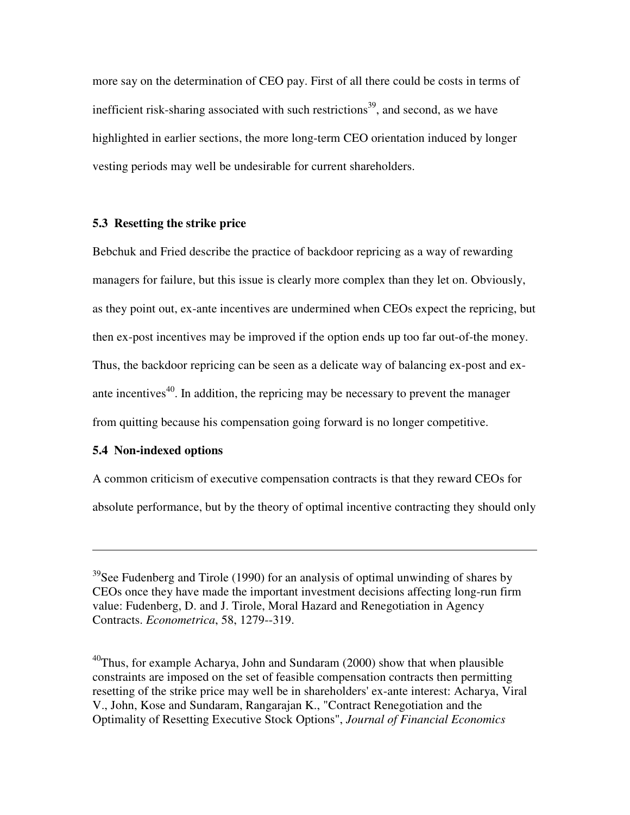more say on the determination of CEO pay. First of all there could be costs in terms of inefficient risk-sharing associated with such restrictions<sup>39</sup>, and second, as we have highlighted in earlier sections, the more long-term CEO orientation induced by longer vesting periods may well be undesirable for current shareholders.

#### **5.3 Resetting the strike price**

Bebchuk and Fried describe the practice of backdoor repricing as a way of rewarding managers for failure, but this issue is clearly more complex than they let on. Obviously, as they point out, ex-ante incentives are undermined when CEOs expect the repricing, but then ex-post incentives may be improved if the option ends up too far out-of-the money. Thus, the backdoor repricing can be seen as a delicate way of balancing ex-post and exante incentives<sup>40</sup>. In addition, the repricing may be necessary to prevent the manager from quitting because his compensation going forward is no longer competitive.

#### **5.4 Non-indexed options**

l

A common criticism of executive compensation contracts is that they reward CEOs for absolute performance, but by the theory of optimal incentive contracting they should only

 $39$ See Fudenberg and Tirole (1990) for an analysis of optimal unwinding of shares by CEOs once they have made the important investment decisions affecting long-run firm value: Fudenberg, D. and J. Tirole, Moral Hazard and Renegotiation in Agency Contracts. *Econometrica*, 58, 1279--319.

 $^{40}$ Thus, for example Acharya, John and Sundaram (2000) show that when plausible constraints are imposed on the set of feasible compensation contracts then permitting resetting of the strike price may well be in shareholders' ex-ante interest: Acharya, Viral V., John, Kose and Sundaram, Rangarajan K., "Contract Renegotiation and the Optimality of Resetting Executive Stock Options", *Journal of Financial Economics*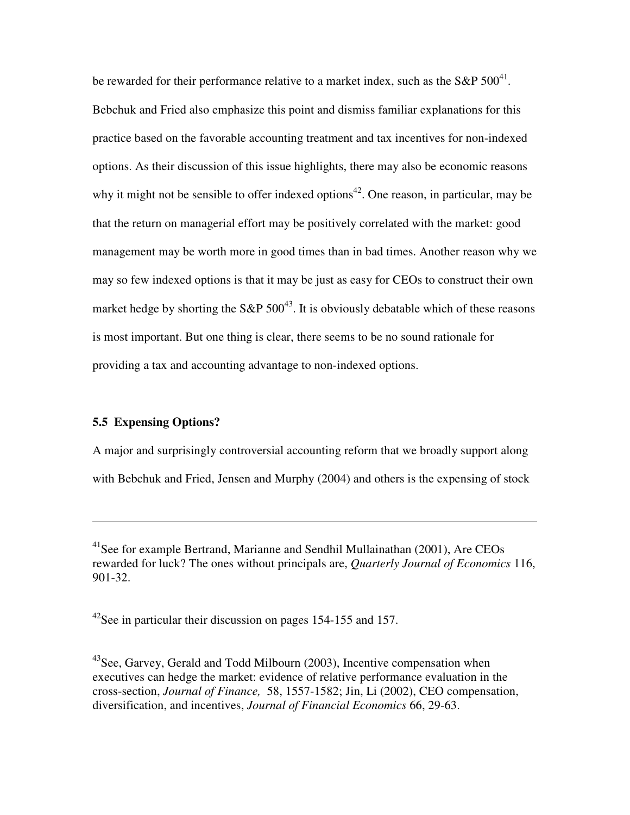be rewarded for their performance relative to a market index, such as the S&P  $500^{41}$ . Bebchuk and Fried also emphasize this point and dismiss familiar explanations for this practice based on the favorable accounting treatment and tax incentives for non-indexed options. As their discussion of this issue highlights, there may also be economic reasons why it might not be sensible to offer indexed options<sup>42</sup>. One reason, in particular, may be that the return on managerial effort may be positively correlated with the market: good management may be worth more in good times than in bad times. Another reason why we may so few indexed options is that it may be just as easy for CEOs to construct their own market hedge by shorting the S&P  $500^{43}$ . It is obviously debatable which of these reasons is most important. But one thing is clear, there seems to be no sound rationale for providing a tax and accounting advantage to non-indexed options.

#### **5.5 Expensing Options?**

 $\overline{a}$ 

A major and surprisingly controversial accounting reform that we broadly support along with Bebchuk and Fried, Jensen and Murphy (2004) and others is the expensing of stock

<sup>&</sup>lt;sup>41</sup>See for example Bertrand, Marianne and Sendhil Mullainathan (2001), Are CEOs rewarded for luck? The ones without principals are, *Quarterly Journal of Economics* 116, 901-32.

<sup>&</sup>lt;sup>42</sup>See in particular their discussion on pages 154-155 and 157.

 $^{43}$ See, Garvey, Gerald and Todd Milbourn (2003), Incentive compensation when executives can hedge the market: evidence of relative performance evaluation in the cross-section, *Journal of Finance,* 58, 1557-1582; Jin, Li (2002), CEO compensation, diversification, and incentives, *Journal of Financial Economics* 66, 29-63.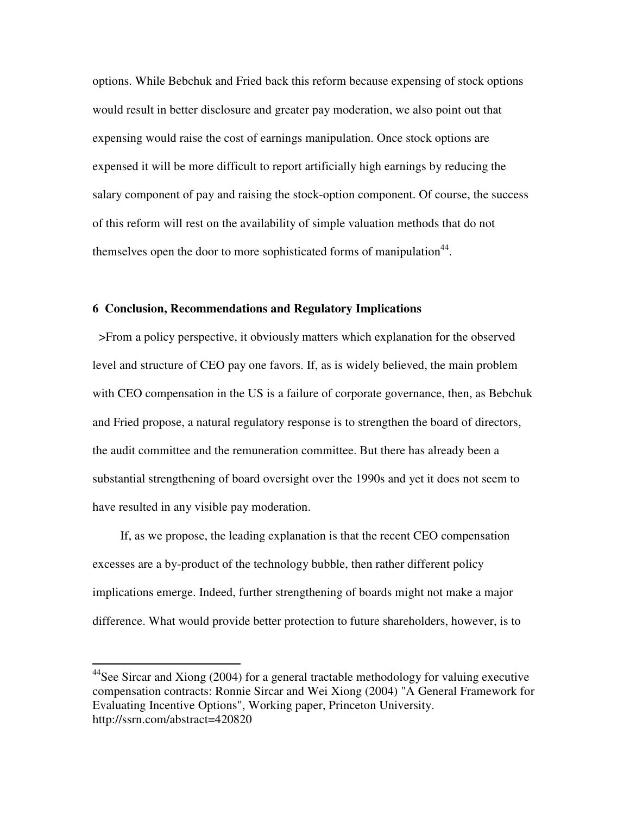options. While Bebchuk and Fried back this reform because expensing of stock options would result in better disclosure and greater pay moderation, we also point out that expensing would raise the cost of earnings manipulation. Once stock options are expensed it will be more difficult to report artificially high earnings by reducing the salary component of pay and raising the stock-option component. Of course, the success of this reform will rest on the availability of simple valuation methods that do not themselves open the door to more sophisticated forms of manipulation<sup>44</sup>.

#### **6 Conclusion, Recommendations and Regulatory Implications**

 >From a policy perspective, it obviously matters which explanation for the observed level and structure of CEO pay one favors. If, as is widely believed, the main problem with CEO compensation in the US is a failure of corporate governance, then, as Bebchuk and Fried propose, a natural regulatory response is to strengthen the board of directors, the audit committee and the remuneration committee. But there has already been a substantial strengthening of board oversight over the 1990s and yet it does not seem to have resulted in any visible pay moderation.

 If, as we propose, the leading explanation is that the recent CEO compensation excesses are a by-product of the technology bubble, then rather different policy implications emerge. Indeed, further strengthening of boards might not make a major difference. What would provide better protection to future shareholders, however, is to

<sup>&</sup>lt;sup>44</sup>See Sircar and Xiong (2004) for a general tractable methodology for valuing executive compensation contracts: Ronnie Sircar and Wei Xiong (2004) "A General Framework for Evaluating Incentive Options", Working paper, Princeton University. http://ssrn.com/abstract=420820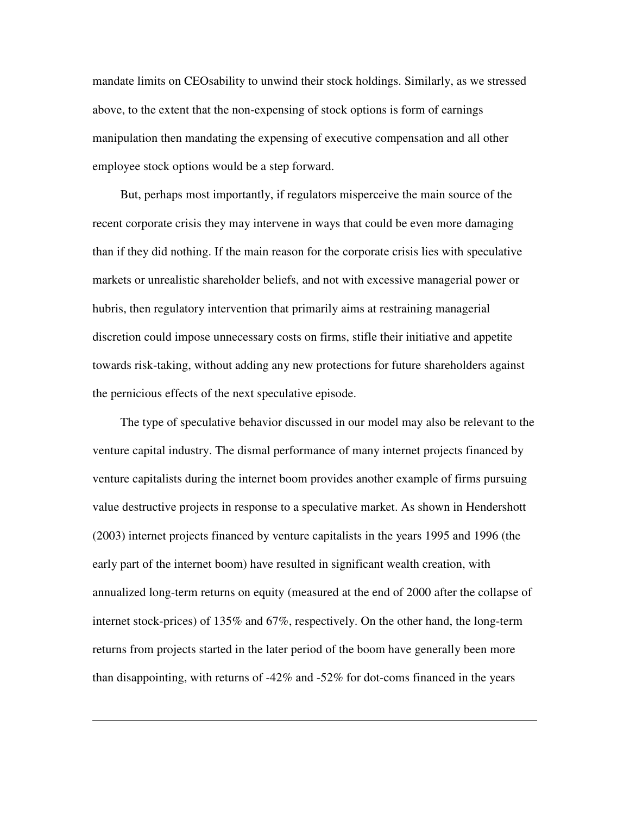mandate limits on CEOsability to unwind their stock holdings. Similarly, as we stressed above, to the extent that the non-expensing of stock options is form of earnings manipulation then mandating the expensing of executive compensation and all other employee stock options would be a step forward.

 But, perhaps most importantly, if regulators misperceive the main source of the recent corporate crisis they may intervene in ways that could be even more damaging than if they did nothing. If the main reason for the corporate crisis lies with speculative markets or unrealistic shareholder beliefs, and not with excessive managerial power or hubris, then regulatory intervention that primarily aims at restraining managerial discretion could impose unnecessary costs on firms, stifle their initiative and appetite towards risk-taking, without adding any new protections for future shareholders against the pernicious effects of the next speculative episode.

 The type of speculative behavior discussed in our model may also be relevant to the venture capital industry. The dismal performance of many internet projects financed by venture capitalists during the internet boom provides another example of firms pursuing value destructive projects in response to a speculative market. As shown in Hendershott (2003) internet projects financed by venture capitalists in the years 1995 and 1996 (the early part of the internet boom) have resulted in significant wealth creation, with annualized long-term returns on equity (measured at the end of 2000 after the collapse of internet stock-prices) of 135% and 67%, respectively. On the other hand, the long-term returns from projects started in the later period of the boom have generally been more than disappointing, with returns of -42% and -52% for dot-coms financed in the years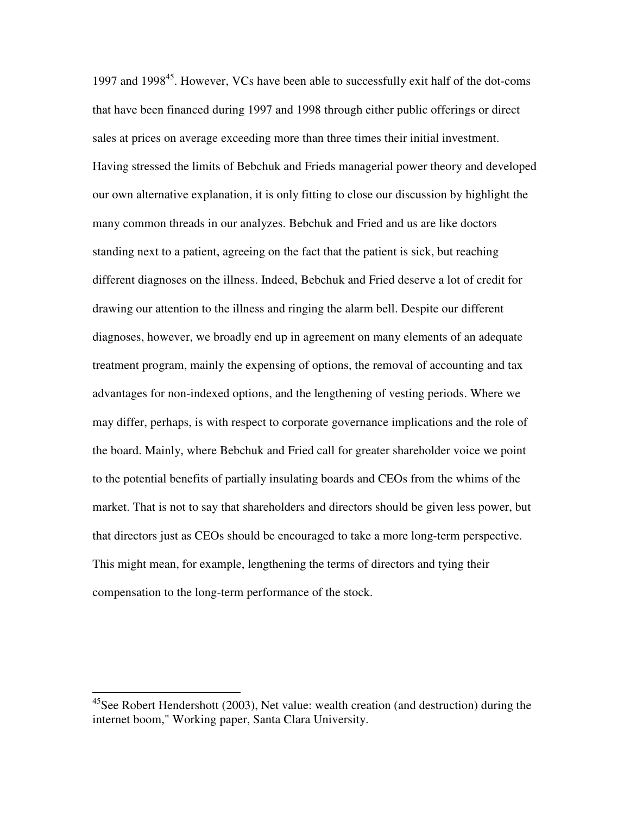1997 and 1998<sup>45</sup>. However, VCs have been able to successfully exit half of the dot-coms that have been financed during 1997 and 1998 through either public offerings or direct sales at prices on average exceeding more than three times their initial investment. Having stressed the limits of Bebchuk and Frieds managerial power theory and developed our own alternative explanation, it is only fitting to close our discussion by highlight the many common threads in our analyzes. Bebchuk and Fried and us are like doctors standing next to a patient, agreeing on the fact that the patient is sick, but reaching different diagnoses on the illness. Indeed, Bebchuk and Fried deserve a lot of credit for drawing our attention to the illness and ringing the alarm bell. Despite our different diagnoses, however, we broadly end up in agreement on many elements of an adequate treatment program, mainly the expensing of options, the removal of accounting and tax advantages for non-indexed options, and the lengthening of vesting periods. Where we may differ, perhaps, is with respect to corporate governance implications and the role of the board. Mainly, where Bebchuk and Fried call for greater shareholder voice we point to the potential benefits of partially insulating boards and CEOs from the whims of the market. That is not to say that shareholders and directors should be given less power, but that directors just as CEOs should be encouraged to take a more long-term perspective. This might mean, for example, lengthening the terms of directors and tying their compensation to the long-term performance of the stock.

l

<sup>&</sup>lt;sup>45</sup>See Robert Hendershott (2003), Net value: wealth creation (and destruction) during the internet boom," Working paper, Santa Clara University.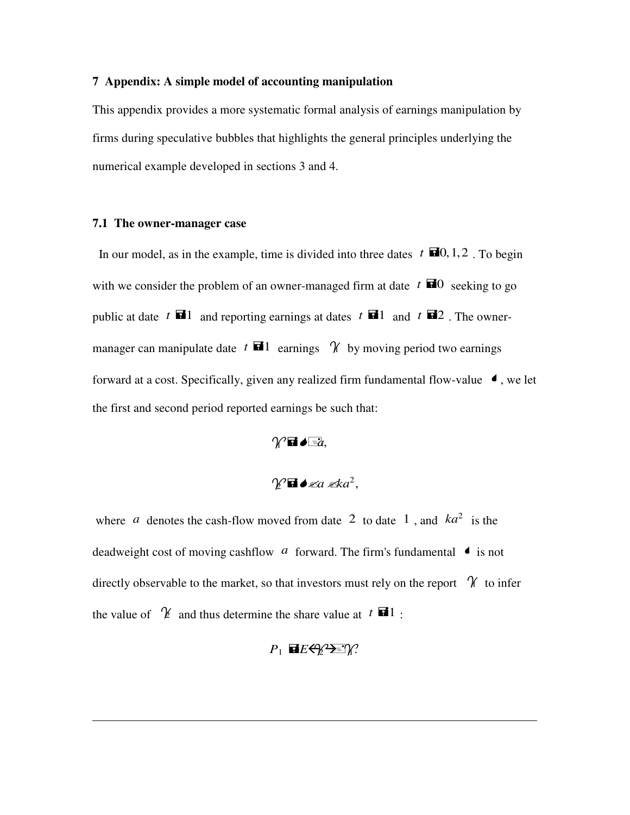#### **7 Appendix: A simple model of accounting manipulation**

This appendix provides a more systematic formal analysis of earnings manipulation by firms during speculative bubbles that highlights the general principles underlying the numerical example developed in sections 3 and 4.

#### **7.1 The owner-manager case**

 $\overline{a}$ 

In our model, as in the example, time is divided into three dates  $t \mathbf{F}0, 1, 2$ . To begin with we consider the problem of an owner-managed firm at date  $t \mathbf{F}$  seeking to go public at date  $t \mathbf{H}$  and reporting earnings at dates  $t \mathbf{H}$  and  $t \mathbf{H}$  and  $t \mathbf{H}$  . The ownermanager can manipulate date  $t \mathbf{H}$  earnings  $\gamma$  by moving period two earnings forward at a cost. Specifically, given any realized firm fundamental flow-value  $\bullet$ , we let the first and second period reported earnings be such that:

## $\gamma$ **a**,

## $\mathcal{C}$ **a**  $\epsilon$ *ka*<sup>2</sup>,

where *a* denotes the cash-flow moved from date 2 to date 1, and  $ka^2$  is the deadweight cost of moving cashflow  $a$  forward. The firm's fundamental  $\bullet$  is not directly observable to the market, so that investors must rely on the report  $\mathcal{U}$  to infer the value of  $\chi$  and thus determine the share value at  $t \mathbf{H}$  :

$$
P_1 \quad \blacksquare E \bigoplus_{\mathbb{Z}} \mathbf{F} \equiv \mathcal{W}.
$$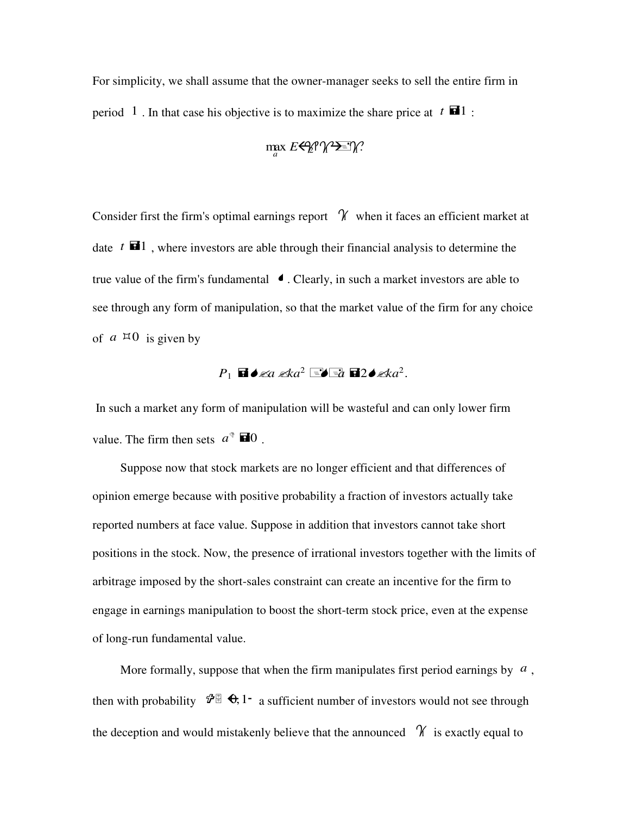For simplicity, we shall assume that the owner-manager seeks to sell the entire firm in period <sup>1</sup>. In that case his objective is to maximize the share price at  $t \mathbf{H}$  :

$$
\max_{a} E \bigoplus \biggl\{ \bigl( \bigvee_{a} \bigvee_{a} \bigvee_{a} \bigvee_{a} \bigvee_{a} \bigvee_{a} \bigvee_{a} \bigvee_{a} \bigvee_{a} \bigvee_{a} \bigvee_{a} \bigvee_{a} \bigvee_{a} \bigvee_{a} \bigvee_{a} \bigvee_{a} \bigvee_{a} \bigvee_{a} \bigvee_{a} \bigvee_{a} \bigvee_{a} \bigvee_{a} \bigvee_{a} \bigvee_{a} \bigvee_{a} \bigvee_{a} \bigvee_{a} \bigvee_{a} \bigvee_{a} \bigvee_{a} \bigvee_{a} \bigvee_{a} \bigvee_{a} \bigvee_{a} \bigvee_{a} \bigvee_{a} \bigvee_{a} \bigvee_{a} \bigvee_{a} \bigvee_{a} \bigvee_{a} \bigvee_{a} \bigvee_{a} \bigvee_{a} \bigvee_{a} \bigvee_{a} \bigvee_{a} \bigvee_{a} \bigvee_{a} \bigvee_{a} \bigvee_{a} \bigvee_{a} \bigvee_{a} \bigvee_{a} \bigvee_{a} \bigvee_{a} \bigvee_{a} \bigvee_{a} \bigvee_{a} \bigvee_{a} \bigvee_{a} \bigvee_{a} \bigvee_{a} \bigvee_{a} \bigvee_{a} \bigvee_{a} \bigvee_{a} \bigvee_{a} \bigvee_{a} \bigvee_{a} \bigvee_{a} \bigvee_{a} \bigvee_{a} \bigvee_{a} \bigvee_{a} \bigvee_{a} \bigvee_{a} \bigvee_{a} \bigvee_{a} \bigvee_{a} \bigvee_{a} \bigvee_{a} \bigvee_{a} \bigvee_{a} \bigvee_{a} \bigvee_{a} \bigvee_{a} \bigvee_{a} \bigvee_{a} \bigvee_{a} \bigvee_{a} \bigvee_{a} \bigvee_{a} \bigvee_{a} \bigvee_{a} \bigvee_{a} \bigvee_{a} \bigvee_{a} \bigvee_{a} \bigvee_{a} \bigvee_{a} \bigvee_{a} \bigvee_{a} \bigvee_{a} \bigvee_{a} \bigvee_{a
$$

Consider first the firm's optimal earnings report  $\mathcal{U}$  when it faces an efficient market at date  $t \mathbf{H}$  , where investors are able through their financial analysis to determine the true value of the firm's fundamental  $\triangleleft$ . Clearly, in such a market investors are able to see through any form of manipulation, so that the market value of the firm for any choice of  $a \neq 0$  is given by

$$
P_1 \quad \blacksquare \quad \blacktriangle \ \mathscr{E} \quad \mathscr{E} \times \mathscr{E} \quad \blacksquare \quad \blacksquare \quad \blacksquare \quad \blacksquare \quad \blacksquare \quad \blacktriangle \mathscr{E} \times \mathscr{E} \quad \blacksquare
$$

 In such a market any form of manipulation will be wasteful and can only lower firm value. The firm then sets  $a^* \boxtimes 0$ .

 Suppose now that stock markets are no longer efficient and that differences of opinion emerge because with positive probability a fraction of investors actually take reported numbers at face value. Suppose in addition that investors cannot take short positions in the stock. Now, the presence of irrational investors together with the limits of arbitrage imposed by the short-sales constraint can create an incentive for the firm to engage in earnings manipulation to boost the short-term stock price, even at the expense of long-run fundamental value.

More formally, suppose that when the firm manipulates first period earnings by *a*, then with probability  $\mathcal{D}^{\mathbb{F}}$   $\Theta$ , 1 a sufficient number of investors would not see through the deception and would mistakenly believe that the announced  $\gamma$  is exactly equal to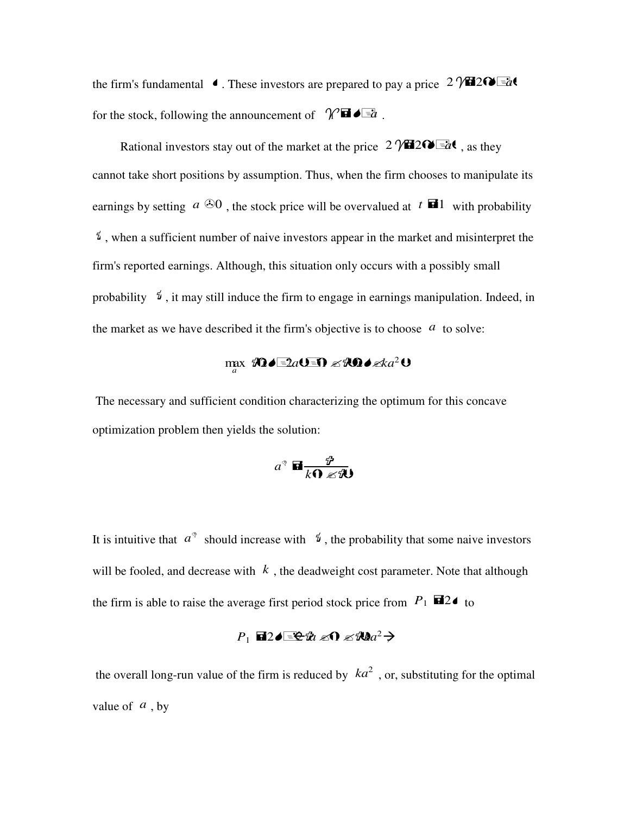the firm's fundamental  $\blacksquare$ . These investors are prepared to pay a price  $2\gamma$ **and** for the stock, following the announcement of  $\mathcal{W}$ **a** 

Rational investors stay out of the market at the price  $2\mathcal{V}$  **a**  $2\mathcal{V}$  as they cannot take short positions by assumption. Thus, when the firm chooses to manipulate its earnings by setting  $a \odot 0$ , the stock price will be overvalued at  $t \mathbf{H}$  with probability  $\frac{1}{4}$ , when a sufficient number of naive investors appear in the market and misinterpret the firm's reported earnings. Although, this situation only occurs with a possibly small probability  $\frac{1}{2}$ , it may still induce the firm to engage in earnings manipulation. Indeed, in the market as we have described it the firm's objective is to choose  $a$  to solve:

# max *a* 2-2*a*-1 2*ka*<sup>2</sup>

 The necessary and sufficient condition characterizing the optimum for this concave optimization problem then yields the solution:

$$
a^* \mathbf{H} \frac{\partial}{\partial \mathbf{A}} \mathbf{W}
$$

It is intuitive that  $a^*$  should increase with  $\vec{i}$ , the probability that some naive investors will be fooled, and decrease with  $k$ , the deadweight cost parameter. Note that although the firm is able to raise the average first period stock price from  $P_1 \boxtimes 24$  to

## $P_1$  **a** 2 <del>4</del>  $\rightarrow$  *k*a  $\ll$  0  $\ll$  0  $\ll$  0  $a^2 \rightarrow$

the overall long-run value of the firm is reduced by  $ka^2$ , or, substituting for the optimal value of *a* , by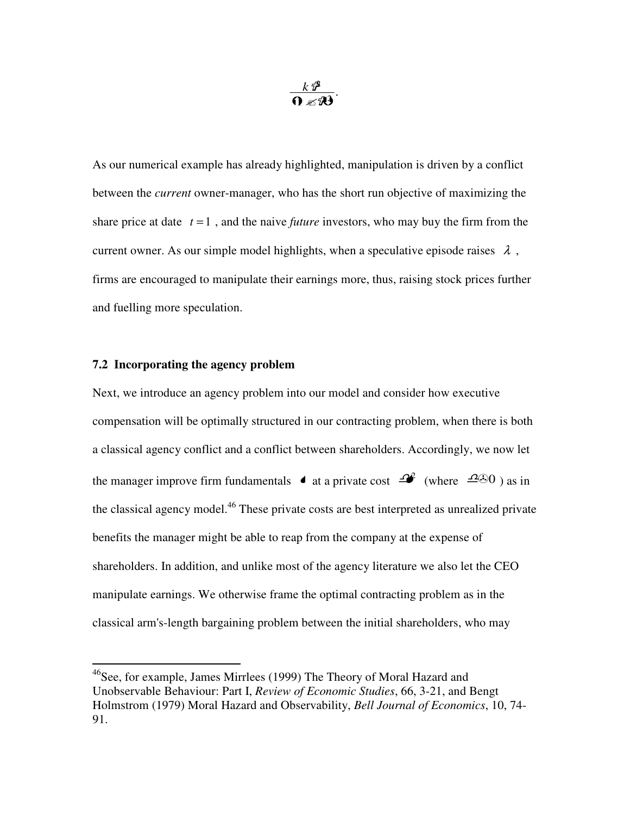As our numerical example has already highlighted, manipulation is driven by a conflict between the *current* owner-manager, who has the short run objective of maximizing the share price at date  $t = 1$ , and the naive *future* investors, who may buy the firm from the current owner. As our simple model highlights, when a speculative episode raises  $\lambda$ , firms are encouraged to manipulate their earnings more, thus, raising stock prices further and fuelling more speculation.

#### **7.2 Incorporating the agency problem**

 $\ddot{ }$ 

Next, we introduce an agency problem into our model and consider how executive compensation will be optimally structured in our contracting problem, when there is both a classical agency conflict and a conflict between shareholders. Accordingly, we now let the manager improve firm fundamentals  $\bullet$  at a private cost  $\mathcal{A}$  (where  $\mathcal{A}(\theta)$ ) as in the classical agency model.<sup>46</sup> These private costs are best interpreted as unrealized private benefits the manager might be able to reap from the company at the expense of shareholders. In addition, and unlike most of the agency literature we also let the CEO manipulate earnings. We otherwise frame the optimal contracting problem as in the classical arm's-length bargaining problem between the initial shareholders, who may

<sup>&</sup>lt;sup>46</sup>See, for example, James Mirrlees (1999) The Theory of Moral Hazard and Unobservable Behaviour: Part I, *Review of Economic Studies*, 66, 3-21, and Bengt Holmstrom (1979) Moral Hazard and Observability, *Bell Journal of Economics*, 10, 74- 91.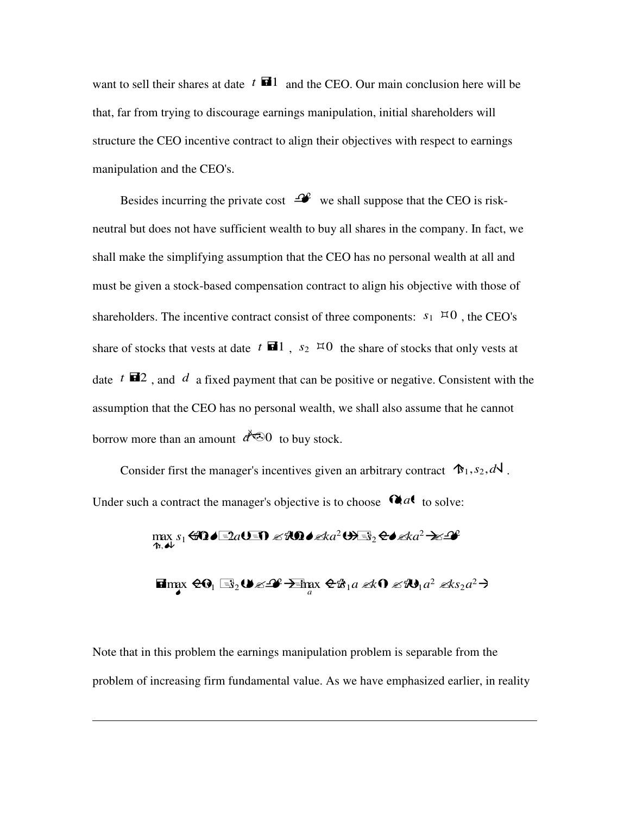want to sell their shares at date  $t \mathbf{H}$  and the CEO. Our main conclusion here will be that, far from trying to discourage earnings manipulation, initial shareholders will structure the CEO incentive contract to align their objectives with respect to earnings manipulation and the CEO's.

Besides incurring the private cost  $\mathcal{L}$  we shall suppose that the CEO is riskneutral but does not have sufficient wealth to buy all shares in the company. In fact, we shall make the simplifying assumption that the CEO has no personal wealth at all and must be given a stock-based compensation contract to align his objective with those of shareholders. The incentive contract consist of three components:  $s_1 \times 0$ , the CEO's share of stocks that vests at date  $t \mathbf{H}$ ,  $s_2 \times 0$  the share of stocks that only vests at date  $t \mathbf{R}^2$ , and  $d$  a fixed payment that can be positive or negative. Consistent with the assumption that the CEO has no personal wealth, we shall also assume that he cannot borrow more than an amount  $\overrightarrow{d}$  to buy stock.

Consider first the manager's incentives given an arbitrary contract  $\Phi_1$ , *s*<sub>2</sub>, *d* $\setminus$ . Under such a contract the manager's objective is to choose  $\alpha$  to solve:

$$
\max_{\mathbf{A},\mathbf{A}} s_1 \bigoplus \mathbf{1} \bigoplus \mathbf{1} \mathbf{a} \bigoplus \mathbf{B} \mathbf{a} \bigotimes \mathbf{A} \mathbf{a}^2 \bigoplus \mathbf{1} \mathbf{B}_2 \mathbf{a}^2 \mathbf{a}^2 \bigoplus \mathbf{A}^2 \mathbf{a}^2 \bigoplus
$$

$$
\lim_{a} \mathfrak{SO}_1 \subseteq \mathfrak{g}_2 \cup \mathfrak{SO}_2 \longrightarrow \lim_{a} \mathfrak{CS}_1 a \mathscr{A} \cap \mathscr{A} \mathfrak{G}_1 a^2 \mathscr{A} \mathfrak{c}_2 a^2 \rightarrow
$$

Note that in this problem the earnings manipulation problem is separable from the problem of increasing firm fundamental value. As we have emphasized earlier, in reality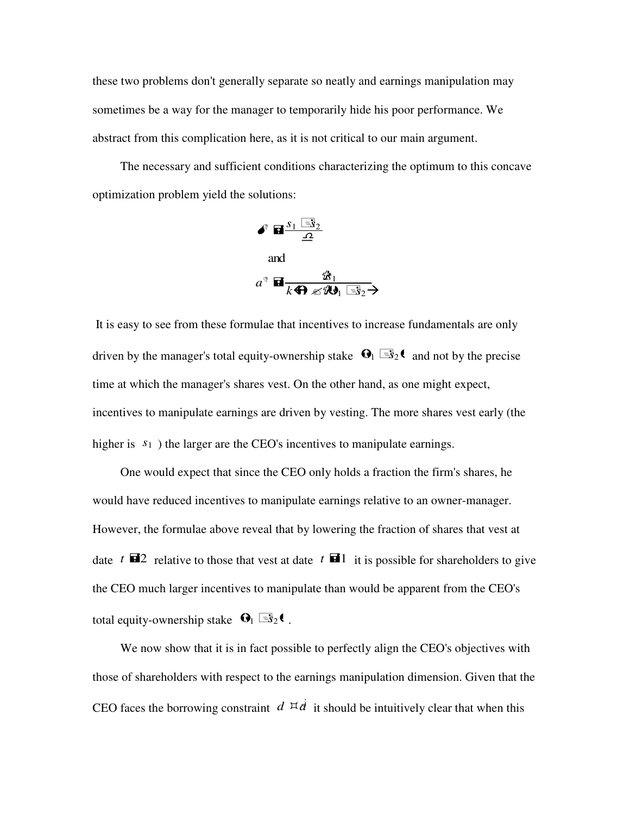these two problems don't generally separate so neatly and earnings manipulation may sometimes be a way for the manager to temporarily hide his poor performance. We abstract from this complication here, as it is not critical to our main argument.

 The necessary and sufficient conditions characterizing the optimum to this concave optimization problem yield the solutions:

$$
\begin{array}{c}\n\bullet \ \overline{\mathbf{H}} \xrightarrow{S_1} \overline{\mathbb{B}}_2 \\
\text{and} \\
a^{\dagger} \ \overline{\mathbf{H}} \xrightarrow{\mathbb{B}} \overline{k} \\
k \oplus \mathbb{B} \mathbb{B}_1 \overline{\mathbb{B}}_2\n\end{array}
$$

 It is easy to see from these formulae that incentives to increase fundamentals are only driven by the manager's total equity-ownership stake  $\mathbf{\Theta}_1 \equiv \mathbf{\Phi}_2 \mathbf{\Theta}$  and not by the precise time at which the manager's shares vest. On the other hand, as one might expect, incentives to manipulate earnings are driven by vesting. The more shares vest early (the higher is  $s_1$ ) the larger are the CEO's incentives to manipulate earnings.

 One would expect that since the CEO only holds a fraction the firm's shares, he would have reduced incentives to manipulate earnings relative to an owner-manager. However, the formulae above reveal that by lowering the fraction of shares that vest at date  $t \mathbf{R}^2$  relative to those that vest at date  $t \mathbf{R}^1$  it is possible for shareholders to give the CEO much larger incentives to manipulate than would be apparent from the CEO's total equity-ownership stake  $\mathbf{\Theta}_1 \sqsubseteq^{\mathbf{F}}_2 \mathbf{\Theta}$ .

 We now show that it is in fact possible to perfectly align the CEO's objectives with those of shareholders with respect to the earnings manipulation dimension. Given that the CEO faces the borrowing constraint  $d \nightharpoonup d$  it should be intuitively clear that when this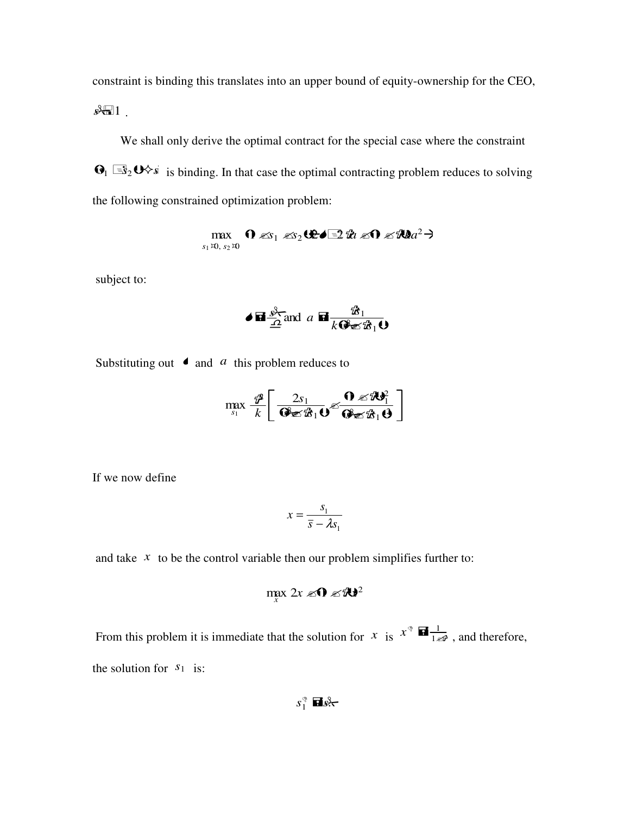constraint is binding this translates into an upper bound of equity-ownership for the CEO,  $\sqrt{1}$ 

 We shall only derive the optimal contract for the special case where the constraint  $\mathbf{\Theta}_1 \subseteq \mathbf{\Theta}_2 \mathbf{\Theta}$  is binding. In that case the optimal contracting problem reduces to solving the following constrained optimization problem:

$$
\max_{s_1\le 0, s_2\le 0} \mathbf{0} \ll s_1 \ll s_2 \mathbf{0} \ll \mathbf{0} \ll \mathbf{0}
$$

subject to:

$$
\blacklozenge \overline{\mathbf{H}} \frac{\frac{\partial^2}{\partial \mathbf{A}}}{\frac{\partial \mathbf{A}}{\partial \mathbf{A}}} \text{ and } a \overline{\mathbf{H}} \frac{\frac{\partial^2 \mathbf{A}}{\partial \mathbf{A}}}{\frac{\partial^2 \mathbf{A} \mathbf{A} \mathbf{A} \mathbf{A}}{\partial \mathbf{A}} \mathbf{A}}
$$

Substituting out  $\bullet$  and  $\alpha$  this problem reduces to

$$
\max_{s_1} \frac{\partial^2}{k} \left[ \frac{2s_1}{\bigcirc^2 \mathcal{B}_1 \mathbf{0}} \mathcal{L} \frac{\mathbf{0} \mathcal{L} \mathcal{B}^2}{\bigcirc^2 \mathcal{B}_2 \mathcal{B}_1 \mathbf{0}} \right]
$$

If we now define

$$
x = \frac{s_1}{\overline{s} - \lambda s_1}
$$

and take  $x$  to be the control variable then our problem simplifies further to:

$$
\max_x 2x \leq 0 \leq 2
$$

From this problem it is immediate that the solution for *x* is  $x^* \mathbf{H} \frac{1}{1 \ll x^*}$ , and therefore, the solution for  $s_1$  is:

$$
s_1^{\circledast} \boxtimes s
$$